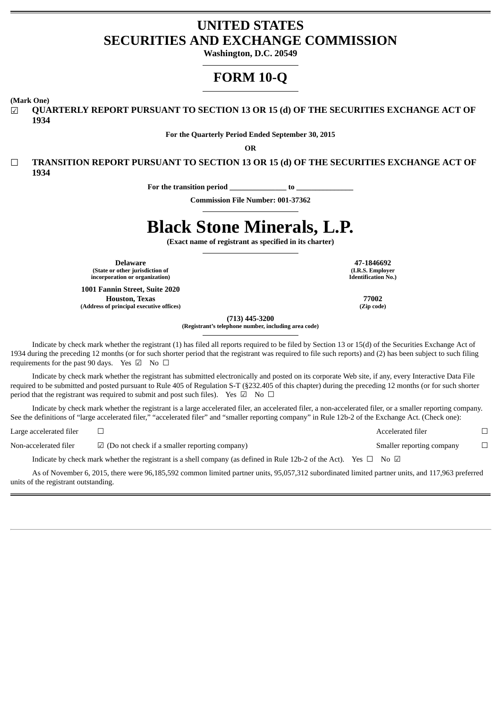# **UNITED STATES SECURITIES AND EXCHANGE COMMISSION**

**Washington, D.C. 20549**

# **FORM 10-Q**

**(Mark One)**

☑ **QUARTERLY REPORT PURSUANT TO SECTION 13 OR 15 (d) OF THE SECURITIES EXCHANGE ACT OF 1934**

**For the Quarterly Period Ended September 30, 2015**

**OR**

☐ **TRANSITION REPORT PURSUANT TO SECTION 13 OR 15 (d) OF THE SECURITIES EXCHANGE ACT OF 1934**

**For the transition period \_\_\_\_\_\_\_\_\_\_\_\_\_\_\_ to \_\_\_\_\_\_\_\_\_\_\_\_\_\_\_**

**Commission File Number: 001-37362**

# **Black Stone Minerals, L.P.**

**(Exact name of registrant as specified in its charter)**

**Delaware 47-1846692 (State or other jurisdiction of incorporation or organization)**

**1001 Fannin Street, Suite 2020 Houston, Texas 77002 (Address of principal executive offices) (Zip code)**

**(I.R.S. Employer Identification No.)**

**(713) 445-3200**

**(Registrant's telephone number, including area code)**

Indicate by check mark whether the registrant (1) has filed all reports required to be filed by Section 13 or 15(d) of the Securities Exchange Act of 1934 during the preceding 12 months (or for such shorter period that the registrant was required to file such reports) and (2) has been subject to such filing requirements for the past 90 days. Yes  $\boxtimes$  No  $\Box$ 

Indicate by check mark whether the registrant has submitted electronically and posted on its corporate Web site, if any, every Interactive Data File required to be submitted and posted pursuant to Rule 405 of Regulation S-T (§232.405 of this chapter) during the preceding 12 months (or for such shorter period that the registrant was required to submit and post such files). Yes  $\boxtimes$  No  $\Box$ 

Indicate by check mark whether the registrant is a large accelerated filer, an accelerated filer, a non-accelerated filer, or a smaller reporting company. See the definitions of "large accelerated filer," "accelerated filer" and "smaller reporting company" in Rule 12b-2 of the Exchange Act. (Check one):

Large accelerated filer ☐ Accelerated filer ☐

Non-accelerated filer  $□$  (Do not check if a smaller reporting company) Smaller reporting company □

Indicate by check mark whether the registrant is a shell company (as defined in Rule 12b-2 of the Act). Yes  $\Box$  No  $\Box$ 

As of November 6, 2015, there were 96,185,592 common limited partner units, 95,057,312 subordinated limited partner units, and 117,963 preferred units of the registrant outstanding.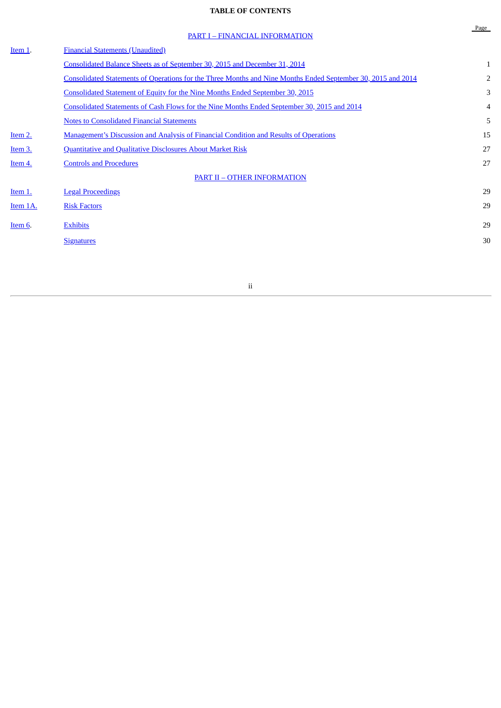# **TABLE OF CONTENTS**

# PART I – FINANCIAL [INFORMATION](#page-2-0)

Page

| Item 1.  | <b>Financial Statements (Unaudited)</b>                                                                      |                |
|----------|--------------------------------------------------------------------------------------------------------------|----------------|
|          | Consolidated Balance Sheets as of September 30, 2015 and December 31, 2014                                   | $\mathbf{1}$   |
|          | Consolidated Statements of Operations for the Three Months and Nine Months Ended September 30, 2015 and 2014 | 2              |
|          | Consolidated Statement of Equity for the Nine Months Ended September 30, 2015                                | 3              |
|          | Consolidated Statements of Cash Flows for the Nine Months Ended September 30, 2015 and 2014                  | $\overline{4}$ |
|          | <b>Notes to Consolidated Financial Statements</b>                                                            | 5              |
| Item 2.  | <b>Management's Discussion and Analysis of Financial Condition and Results of Operations</b>                 | 15             |
| Item 3.  | Quantitative and Qualitative Disclosures About Market Risk                                                   | 27             |
| Item 4.  | <b>Controls and Procedures</b>                                                                               | 27             |
|          | <b>PART II - OTHER INFORMATION</b>                                                                           |                |
| Item 1.  | <b>Legal Proceedings</b>                                                                                     | 29             |
| Item 1A. | <b>Risk Factors</b>                                                                                          | 29             |
| Item 6.  | <b>Exhibits</b>                                                                                              | 29             |
|          | <b>Signatures</b>                                                                                            | 30             |
|          |                                                                                                              |                |

ii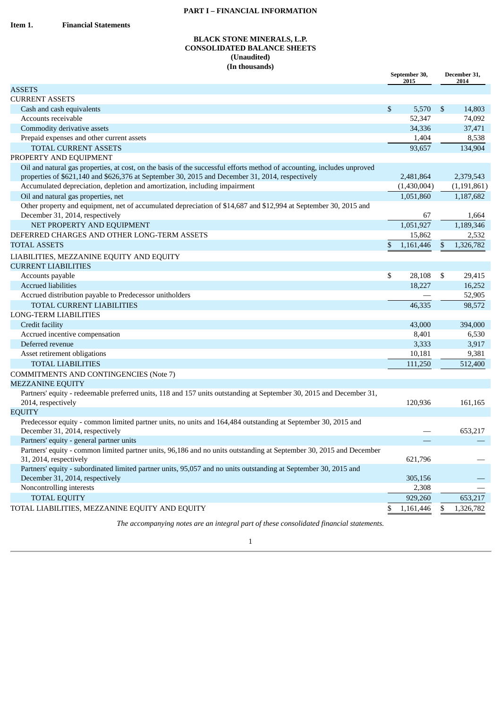# **PART I – FINANCIAL INFORMATION**

# **BLACK STONE MINERALS, L.P. CONSOLIDATED BALANCE SHEETS (Unaudited) (In thousands)**

<span id="page-2-2"></span><span id="page-2-1"></span><span id="page-2-0"></span>

|                                                                                                                                                     | September 30,<br>2015 | December 31,<br>2014 |
|-----------------------------------------------------------------------------------------------------------------------------------------------------|-----------------------|----------------------|
| <b>ASSETS</b>                                                                                                                                       |                       |                      |
| <b>CURRENT ASSETS</b>                                                                                                                               |                       |                      |
| Cash and cash equivalents                                                                                                                           | \$<br>5,570           | \$<br>14,803         |
| Accounts receivable                                                                                                                                 | 52,347                | 74,092               |
| Commodity derivative assets                                                                                                                         | 34,336                | 37,471               |
| Prepaid expenses and other current assets                                                                                                           | 1,404                 | 8,538                |
| TOTAL CURRENT ASSETS                                                                                                                                | 93,657                | 134,904              |
| PROPERTY AND EQUIPMENT                                                                                                                              |                       |                      |
| Oil and natural gas properties, at cost, on the basis of the successful efforts method of accounting, includes unproved                             |                       |                      |
| properties of \$621,140 and \$626,376 at September 30, 2015 and December 31, 2014, respectively                                                     | 2,481,864             | 2,379,543            |
| Accumulated depreciation, depletion and amortization, including impairment                                                                          | (1,430,004)           | (1, 191, 861)        |
| Oil and natural gas properties, net                                                                                                                 | 1,051,860             | 1,187,682            |
| Other property and equipment, net of accumulated depreciation of \$14,687 and \$12,994 at September 30, 2015 and<br>December 31, 2014, respectively | 67                    | 1,664                |
| NET PROPERTY AND EQUIPMENT                                                                                                                          | 1,051,927             | 1,189,346            |
| DEFERRED CHARGES AND OTHER LONG-TERM ASSETS                                                                                                         | 15,862                | 2,532                |
| <b>TOTAL ASSETS</b>                                                                                                                                 | \$<br>1,161,446       | \$<br>1,326,782      |
| LIABILITIES, MEZZANINE EQUITY AND EQUITY                                                                                                            |                       |                      |
| <b>CURRENT LIABILITIES</b>                                                                                                                          |                       |                      |
| Accounts payable                                                                                                                                    | \$<br>28,108          | \$<br>29,415         |
| <b>Accrued liabilities</b>                                                                                                                          | 18,227                | 16,252               |
| Accrued distribution payable to Predecessor unitholders                                                                                             |                       | 52,905               |
| <b>TOTAL CURRENT LIABILITIES</b>                                                                                                                    |                       |                      |
|                                                                                                                                                     | 46,335                | 98,572               |
| <b>LONG-TERM LIABILITIES</b>                                                                                                                        |                       |                      |
| Credit facility                                                                                                                                     | 43,000                | 394,000              |
| Accrued incentive compensation                                                                                                                      | 8,401                 | 6,530                |
| Deferred revenue                                                                                                                                    | 3,333                 | 3,917                |
| Asset retirement obligations                                                                                                                        | 10,181                | 9,381                |
| <b>TOTAL LIABILITIES</b>                                                                                                                            | 111,250               | 512,400              |
| <b>COMMITMENTS AND CONTINGENCIES (Note 7)</b>                                                                                                       |                       |                      |
| <b>MEZZANINE EQUITY</b>                                                                                                                             |                       |                      |
| Partners' equity - redeemable preferred units, 118 and 157 units outstanding at September 30, 2015 and December 31,<br>2014, respectively           | 120,936               | 161,165              |
| <b>EQUITY</b>                                                                                                                                       |                       |                      |
| Predecessor equity - common limited partner units, no units and 164,484 outstanding at September 30, 2015 and<br>December 31, 2014, respectively    |                       | 653,217              |
| Partners' equity - general partner units                                                                                                            |                       |                      |
| Partners' equity - common limited partner units, 96,186 and no units outstanding at September 30, 2015 and December<br>31, 2014, respectively       | 621,796               |                      |
| Partners' equity - subordinated limited partner units, 95,057 and no units outstanding at September 30, 2015 and<br>December 31, 2014, respectively | 305,156               |                      |
| Noncontrolling interests                                                                                                                            | 2,308                 |                      |
| <b>TOTAL EQUITY</b>                                                                                                                                 | 929,260               | 653,217              |
| TOTAL LIABILITIES, MEZZANINE EQUITY AND EQUITY                                                                                                      | \$<br>1,161,446       | \$<br>1,326,782      |
| The accompanying notes are an integral part of these consolidated financial statements.                                                             |                       |                      |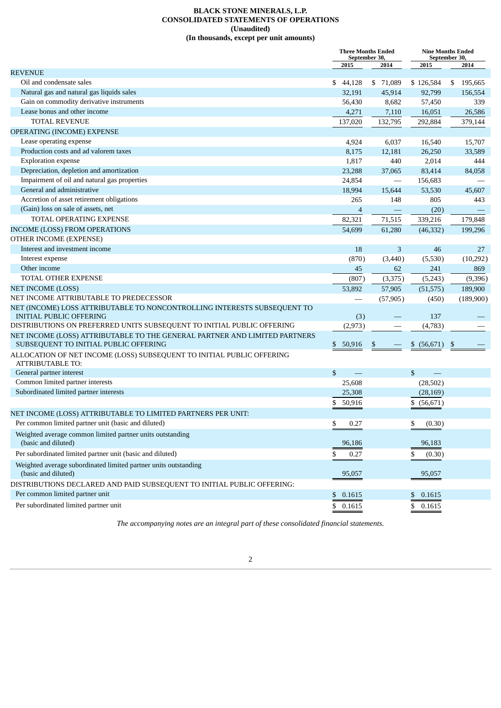# **BLACK STONE MINERALS, L.P. CONSOLIDATED STATEMENTS OF OPERATIONS (Unaudited) (In thousands, except per unit amounts)**

<span id="page-3-0"></span>

|                                                                                        | <b>Three Months Ended</b><br>September 30, |                |    | <b>Nine Months Ended</b><br>September 30, |              |                    |    |            |
|----------------------------------------------------------------------------------------|--------------------------------------------|----------------|----|-------------------------------------------|--------------|--------------------|----|------------|
|                                                                                        |                                            | 2015           |    | 2014                                      | 2015         |                    |    | 2014       |
| <b>REVENUE</b>                                                                         |                                            |                |    |                                           |              |                    |    |            |
| Oil and condensate sales                                                               | \$                                         | 44,128         |    | \$ 71,089                                 | \$126,584    |                    |    | \$ 195,665 |
| Natural gas and natural gas liquids sales                                              |                                            | 32,191         |    | 45,914                                    |              | 92,799             |    | 156,554    |
| Gain on commodity derivative instruments                                               |                                            | 56,430         |    | 8,682                                     |              | 57,450             |    | 339        |
| Lease bonus and other income                                                           |                                            | 4,271          |    | 7,110                                     |              | 16,051             |    | 26,586     |
| <b>TOTAL REVENUE</b>                                                                   |                                            | 137,020        |    | 132,795                                   |              | 292,884            |    | 379,144    |
| OPERATING (INCOME) EXPENSE                                                             |                                            |                |    |                                           |              |                    |    |            |
| Lease operating expense                                                                |                                            | 4,924          |    | 6,037                                     |              | 16,540             |    | 15,707     |
| Production costs and ad valorem taxes                                                  |                                            | 8,175          |    | 12,181                                    |              | 26,250             |    | 33,589     |
| <b>Exploration expense</b>                                                             |                                            | 1,817          |    | 440                                       |              | 2,014              |    | 444        |
| Depreciation, depletion and amortization                                               |                                            | 23,288         |    | 37,065                                    |              | 83,414             |    | 84,058     |
| Impairment of oil and natural gas properties                                           |                                            | 24,854         |    |                                           |              | 156,683            |    |            |
| General and administrative                                                             |                                            | 18,994         |    | 15,644                                    |              | 53,530             |    | 45,607     |
| Accretion of asset retirement obligations                                              |                                            | 265            |    | 148                                       |              | 805                |    | 443        |
| (Gain) loss on sale of assets, net                                                     |                                            | $\overline{4}$ |    |                                           |              | (20)               |    |            |
| TOTAL OPERATING EXPENSE                                                                |                                            | 82,321         |    | 71,515                                    |              | 339,216            |    | 179,848    |
| INCOME (LOSS) FROM OPERATIONS                                                          |                                            | 54,699         |    | 61,280                                    |              | (46, 332)          |    | 199,296    |
| OTHER INCOME (EXPENSE)                                                                 |                                            |                |    |                                           |              |                    |    |            |
| Interest and investment income                                                         |                                            | 18             |    | 3                                         |              | 46                 |    | 27         |
| Interest expense                                                                       |                                            | (870)          |    | (3, 440)                                  |              | (5,530)            |    | (10,292)   |
| Other income                                                                           |                                            | 45             |    | 62                                        |              | 241                |    | 869        |
| TOTAL OTHER EXPENSE                                                                    |                                            | (807)          |    | (3,375)                                   |              | (5,243)            |    | (9,396)    |
| <b>NET INCOME (LOSS)</b>                                                               |                                            | 53,892         |    | 57,905                                    |              |                    |    | 189,900    |
| NET INCOME ATTRIBUTABLE TO PREDECESSOR                                                 |                                            |                |    | (57, 905)                                 |              | (51, 575)<br>(450) |    | (189,900)  |
| NET (INCOME) LOSS ATTRIBUTABLE TO NONCONTROLLING INTERESTS SUBSEQUENT TO               |                                            |                |    |                                           |              |                    |    |            |
| <b>INITIAL PUBLIC OFFERING</b>                                                         |                                            | (3)            |    |                                           |              | 137                |    |            |
| DISTRIBUTIONS ON PREFERRED UNITS SUBSEQUENT TO INITIAL PUBLIC OFFERING                 |                                            | (2,973)        |    | —                                         |              | (4,783)            |    |            |
| NET INCOME (LOSS) ATTRIBUTABLE TO THE GENERAL PARTNER AND LIMITED PARTNERS             |                                            |                |    |                                           |              |                    |    |            |
| SUBSEQUENT TO INITIAL PUBLIC OFFERING                                                  | \$                                         | 50,916         | \$ |                                           | \$ (56,671)  |                    | \$ |            |
| ALLOCATION OF NET INCOME (LOSS) SUBSEQUENT TO INITIAL PUBLIC OFFERING                  |                                            |                |    |                                           |              |                    |    |            |
| <b>ATTRIBUTABLE TO:</b>                                                                |                                            |                |    |                                           |              |                    |    |            |
| General partner interest                                                               | $\mathbb{S}$                               |                |    |                                           | $\mathbb{S}$ |                    |    |            |
| Common limited partner interests                                                       |                                            | 25,608         |    |                                           |              | (28,502)           |    |            |
| Subordinated limited partner interests                                                 |                                            | 25,308         |    |                                           |              | (28, 169)          |    |            |
|                                                                                        | \$                                         | 50,916         |    |                                           | \$ (56,671)  |                    |    |            |
| NET INCOME (LOSS) ATTRIBUTABLE TO LIMITED PARTNERS PER UNIT:                           |                                            |                |    |                                           |              |                    |    |            |
| Per common limited partner unit (basic and diluted)                                    | \$                                         | 0.27           |    |                                           | \$           | (0.30)             |    |            |
| Weighted average common limited partner units outstanding<br>(basic and diluted)       |                                            | 96,186         |    |                                           |              | 96,183             |    |            |
| Per subordinated limited partner unit (basic and diluted)                              | \$                                         | 0.27           |    |                                           | \$           | (0.30)             |    |            |
| Weighted average subordinated limited partner units outstanding<br>(basic and diluted) |                                            | 95,057         |    |                                           |              | 95,057             |    |            |
| DISTRIBUTIONS DECLARED AND PAID SUBSEQUENT TO INITIAL PUBLIC OFFERING:                 |                                            |                |    |                                           |              |                    |    |            |
| Per common limited partner unit                                                        | \$                                         | 0.1615         |    |                                           | \$           | 0.1615             |    |            |
|                                                                                        |                                            |                |    |                                           |              |                    |    |            |
| Per subordinated limited partner unit                                                  | \$                                         | 0.1615         |    |                                           | \$           | 0.1615             |    |            |

*The accompanying notes are an integral part of these consolidated financial statements.*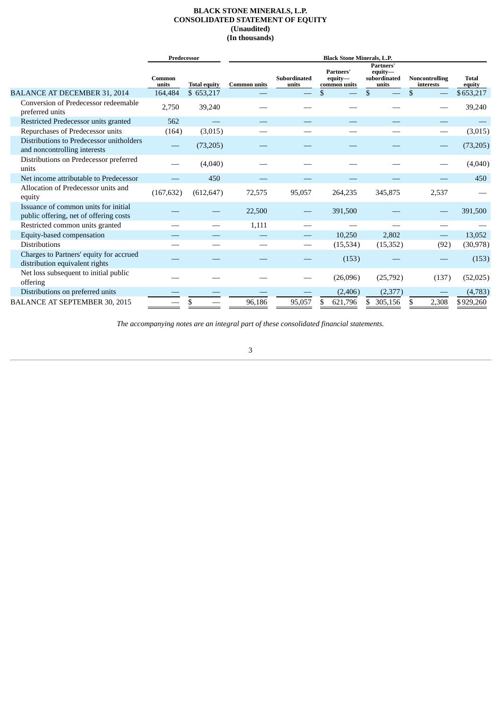# **BLACK STONE MINERALS, L.P. CONSOLIDATED STATEMENT OF EQUITY (Unaudited) (In thousands)**

<span id="page-4-0"></span>

|                                                                                | Predecessor     |                     | <b>Black Stone Minerals, L.P.</b> |                       |                                      |                                                      |                             |                        |  |  |
|--------------------------------------------------------------------------------|-----------------|---------------------|-----------------------------------|-----------------------|--------------------------------------|------------------------------------------------------|-----------------------------|------------------------|--|--|
|                                                                                | Common<br>units | <b>Total equity</b> | <b>Common units</b>               | Subordinated<br>units | Partners'<br>equity-<br>common units | <b>Partners'</b><br>equity-<br>subordinated<br>units | Noncontrolling<br>interests | <b>Total</b><br>equity |  |  |
| <b>BALANCE AT DECEMBER 31, 2014</b>                                            | 164,484         | \$653,217           |                                   |                       | \$                                   | \$                                                   | \$                          | \$653,217              |  |  |
| Conversion of Predecessor redeemable<br>preferred units                        | 2,750           | 39,240              |                                   |                       |                                      |                                                      |                             | 39,240                 |  |  |
| Restricted Predecessor units granted                                           | 562             |                     |                                   |                       |                                      |                                                      |                             |                        |  |  |
| Repurchases of Predecessor units                                               | (164)           | (3,015)             |                                   |                       |                                      |                                                      | $\qquad \qquad$             | (3,015)                |  |  |
| Distributions to Predecessor unitholders<br>and noncontrolling interests       |                 | (73,205)            |                                   |                       |                                      |                                                      |                             | (73,205)               |  |  |
| Distributions on Predecessor preferred<br>units                                |                 | (4,040)             |                                   |                       |                                      |                                                      |                             | (4,040)                |  |  |
| Net income attributable to Predecessor                                         |                 | 450                 |                                   |                       |                                      |                                                      |                             | 450                    |  |  |
| Allocation of Predecessor units and<br>equity                                  | (167, 632)      | (612, 647)          | 72,575                            | 95,057                | 264,235                              | 345,875                                              | 2,537                       |                        |  |  |
| Issuance of common units for initial<br>public offering, net of offering costs |                 |                     | 22,500                            |                       | 391,500                              |                                                      |                             | 391,500                |  |  |
| Restricted common units granted                                                |                 |                     | 1,111                             |                       |                                      |                                                      |                             |                        |  |  |
| Equity-based compensation                                                      |                 |                     |                                   |                       | 10,250                               | 2,802                                                |                             | 13,052                 |  |  |
| <b>Distributions</b>                                                           |                 |                     |                                   |                       | (15, 534)                            | (15, 352)                                            | (92)                        | (30, 978)              |  |  |
| Charges to Partners' equity for accrued<br>distribution equivalent rights      |                 |                     |                                   |                       | (153)                                |                                                      |                             | (153)                  |  |  |
| Net loss subsequent to initial public<br>offering                              |                 |                     |                                   |                       | (26,096)                             | (25, 792)                                            | (137)                       | (52,025)               |  |  |
| Distributions on preferred units                                               |                 |                     |                                   |                       | (2,406)                              | (2,377)                                              |                             | (4,783)                |  |  |
| <b>BALANCE AT SEPTEMBER 30, 2015</b>                                           |                 | \$                  | 96,186                            | 95,057                | 621,796                              | 305,156<br>\$                                        | 2,308<br>\$                 | \$929,260              |  |  |

*The accompanying notes are an integral part of these consolidated financial statements.*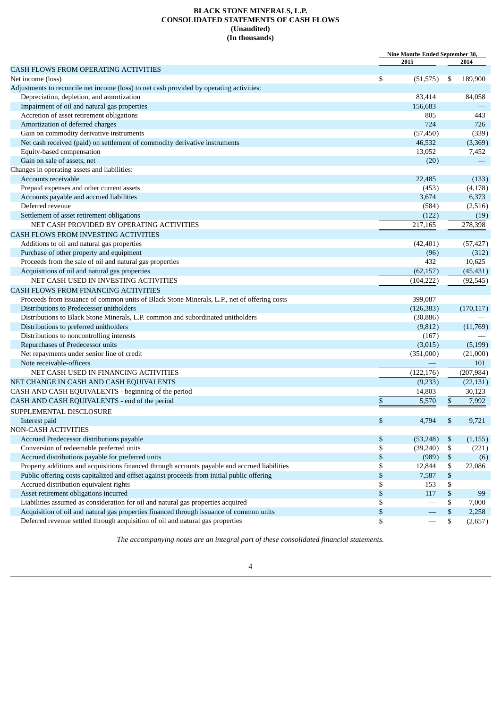# **BLACK STONE MINERALS, L.P. CONSOLIDATED STATEMENTS OF CASH FLOWS (Unaudited) (In thousands)**

<span id="page-5-0"></span>

|                                                                                               | Nine Months Ended September 30, |                      |      |            |  |  |
|-----------------------------------------------------------------------------------------------|---------------------------------|----------------------|------|------------|--|--|
|                                                                                               |                                 | 2015                 |      | 2014       |  |  |
| <b>CASH FLOWS FROM OPERATING ACTIVITIES</b>                                                   |                                 |                      |      |            |  |  |
| Net income (loss)                                                                             | \$                              | (51, 575)            | \$   | 189,900    |  |  |
| Adjustments to reconcile net income (loss) to net cash provided by operating activities:      |                                 |                      |      |            |  |  |
| Depreciation, depletion, and amortization                                                     |                                 | 83,414               |      | 84,058     |  |  |
| Impairment of oil and natural gas properties                                                  |                                 | 156,683              |      |            |  |  |
| Accretion of asset retirement obligations                                                     |                                 | 805                  |      | 443        |  |  |
| Amortization of deferred charges                                                              |                                 | 724                  |      | 726        |  |  |
| Gain on commodity derivative instruments                                                      |                                 | (57, 450)            |      | (339)      |  |  |
| Net cash received (paid) on settlement of commodity derivative instruments                    |                                 | 46,532               |      | (3,369)    |  |  |
| Equity-based compensation                                                                     |                                 | 13,052               |      | 7,452      |  |  |
| Gain on sale of assets, net                                                                   |                                 | (20)                 |      |            |  |  |
| Changes in operating assets and liabilities:                                                  |                                 |                      |      |            |  |  |
| Accounts receivable                                                                           |                                 | 22,485               |      | (133)      |  |  |
| Prepaid expenses and other current assets                                                     |                                 | (453)                |      | (4,178)    |  |  |
| Accounts payable and accrued liabilities                                                      |                                 | 3,674                |      | 6,373      |  |  |
| Deferred revenue                                                                              |                                 | (584)                |      | (2,516)    |  |  |
| Settlement of asset retirement obligations                                                    |                                 | (122)                |      | (19)       |  |  |
| NET CASH PROVIDED BY OPERATING ACTIVITIES                                                     |                                 | $\overline{217,165}$ |      | 278,398    |  |  |
| <b>CASH FLOWS FROM INVESTING ACTIVITIES</b>                                                   |                                 |                      |      |            |  |  |
| Additions to oil and natural gas properties                                                   |                                 | (42, 401)            |      | (57, 427)  |  |  |
| Purchase of other property and equipment                                                      |                                 | (96)                 |      | (312)      |  |  |
| Proceeds from the sale of oil and natural gas properties                                      |                                 | 432                  |      | 10,625     |  |  |
| Acquisitions of oil and natural gas properties                                                |                                 | (62, 157)            |      | (45, 431)  |  |  |
| NET CASH USED IN INVESTING ACTIVITIES                                                         |                                 | (104, 222)           |      | (92, 545)  |  |  |
| <b>CASH FLOWS FROM FINANCING ACTIVITIES</b>                                                   |                                 |                      |      |            |  |  |
| Proceeds from issuance of common units of Black Stone Minerals, L.P., net of offering costs   |                                 | 399,087              |      |            |  |  |
| Distributions to Predecessor unitholders                                                      |                                 | (126, 383)           |      | (170, 117) |  |  |
| Distributions to Black Stone Minerals, L.P. common and subordinated unitholders               |                                 | (30, 886)            |      |            |  |  |
| Distributions to preferred unitholders                                                        |                                 | (9,812)              |      | (11,769)   |  |  |
| Distributions to noncontrolling interests                                                     |                                 | (167)                |      |            |  |  |
| Repurchases of Predecessor units                                                              |                                 | (3,015)              |      | (5, 199)   |  |  |
| Net repayments under senior line of credit                                                    |                                 | (351,000)            |      | (21,000)   |  |  |
| Note receivable-officers                                                                      |                                 |                      |      | 101        |  |  |
| NET CASH USED IN FINANCING ACTIVITIES                                                         |                                 | (122, 176)           |      | (207, 984) |  |  |
| NET CHANGE IN CASH AND CASH EQUIVALENTS                                                       |                                 | (9,233)              |      | (22, 131)  |  |  |
| CASH AND CASH EQUIVALENTS - beginning of the period                                           |                                 | 14,803               |      | 30,123     |  |  |
|                                                                                               |                                 |                      |      |            |  |  |
| CASH AND CASH EQUIVALENTS - end of the period                                                 | \$                              | 5,570                | \$   | 7,992      |  |  |
| SUPPLEMENTAL DISCLOSURE                                                                       |                                 |                      |      |            |  |  |
| Interest paid                                                                                 | \$                              | 4,794                | \$   | 9,721      |  |  |
| NON-CASH ACTIVITIES                                                                           |                                 |                      |      |            |  |  |
| Accrued Predecessor distributions payable                                                     | \$                              | (53, 248)            | \$   | (1, 155)   |  |  |
| Conversion of redeemable preferred units                                                      | \$                              | (39, 240)            | \$   | (221)      |  |  |
| Accrued distributions payable for preferred units                                             | \$                              | (989)                | $\$$ | (6)        |  |  |
| Property additions and acquisitions financed through accounts payable and accrued liabilities | \$                              | 12,844               | \$   | 22,086     |  |  |
| Public offering costs capitalized and offset against proceeds from initial public offering    | \$                              | 7,587                | \$   |            |  |  |
| Accrued distribution equivalent rights                                                        | \$                              | 153                  | \$   |            |  |  |
| Asset retirement obligations incurred                                                         | \$                              | 117                  | \$   | 99         |  |  |
| Liabilities assumed as consideration for oil and natural gas properties acquired              | \$                              |                      | \$   | 7,000      |  |  |
| Acquisition of oil and natural gas properties financed through issuance of common units       | \$                              |                      | \$   | 2,258      |  |  |
| Deferred revenue settled through acquisition of oil and natural gas properties                | \$                              |                      | \$   | (2,657)    |  |  |

*The accompanying notes are an integral part of these consolidated financial statements.*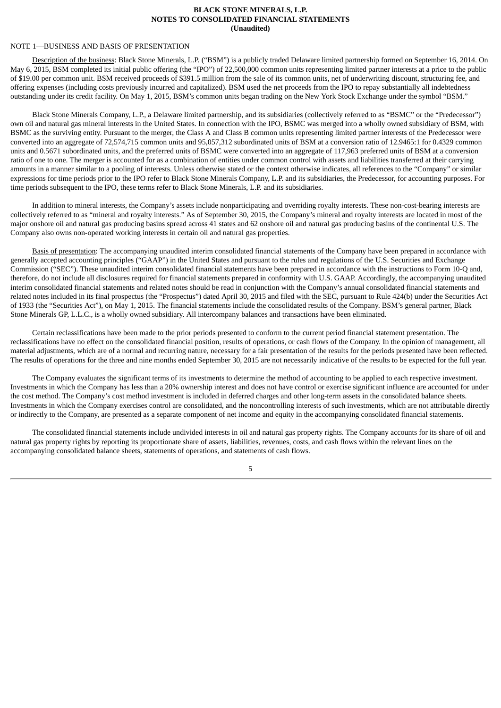#### <span id="page-6-0"></span>NOTE 1—BUSINESS AND BASIS OF PRESENTATION

Description of the business: Black Stone Minerals, L.P. ("BSM") is a publicly traded Delaware limited partnership formed on September 16, 2014. On May 6, 2015, BSM completed its initial public offering (the "IPO") of 22,500,000 common units representing limited partner interests at a price to the public of \$19.00 per common unit. BSM received proceeds of \$391.5 million from the sale of its common units, net of underwriting discount, structuring fee, and offering expenses (including costs previously incurred and capitalized). BSM used the net proceeds from the IPO to repay substantially all indebtedness outstanding under its credit facility. On May 1, 2015, BSM's common units began trading on the New York Stock Exchange under the symbol "BSM."

Black Stone Minerals Company, L.P., a Delaware limited partnership, and its subsidiaries (collectively referred to as "BSMC" or the "Predecessor") own oil and natural gas mineral interests in the United States. In connection with the IPO, BSMC was merged into a wholly owned subsidiary of BSM, with BSMC as the surviving entity. Pursuant to the merger, the Class A and Class B common units representing limited partner interests of the Predecessor were converted into an aggregate of 72,574,715 common units and 95,057,312 subordinated units of BSM at a conversion ratio of 12.9465:1 for 0.4329 common units and 0.5671 subordinated units, and the preferred units of BSMC were converted into an aggregate of 117,963 preferred units of BSM at a conversion ratio of one to one. The merger is accounted for as a combination of entities under common control with assets and liabilities transferred at their carrying amounts in a manner similar to a pooling of interests. Unless otherwise stated or the context otherwise indicates, all references to the "Company" or similar expressions for time periods prior to the IPO refer to Black Stone Minerals Company, L.P. and its subsidiaries, the Predecessor, for accounting purposes. For time periods subsequent to the IPO, these terms refer to Black Stone Minerals, L.P. and its subsidiaries.

In addition to mineral interests, the Company's assets include nonparticipating and overriding royalty interests. These non-cost-bearing interests are collectively referred to as "mineral and royalty interests." As of September 30, 2015, the Company's mineral and royalty interests are located in most of the major onshore oil and natural gas producing basins spread across 41 states and 62 onshore oil and natural gas producing basins of the continental U.S. The Company also owns non-operated working interests in certain oil and natural gas properties.

Basis of presentation: The accompanying unaudited interim consolidated financial statements of the Company have been prepared in accordance with generally accepted accounting principles ("GAAP") in the United States and pursuant to the rules and regulations of the U.S. Securities and Exchange Commission ("SEC"). These unaudited interim consolidated financial statements have been prepared in accordance with the instructions to Form 10-Q and, therefore, do not include all disclosures required for financial statements prepared in conformity with U.S. GAAP. Accordingly, the accompanying unaudited interim consolidated financial statements and related notes should be read in conjunction with the Company's annual consolidated financial statements and related notes included in its final prospectus (the "Prospectus") dated April 30, 2015 and filed with the SEC, pursuant to Rule 424(b) under the Securities Act of 1933 (the "Securities Act"), on May 1, 2015. The financial statements include the consolidated results of the Company. BSM's general partner, Black Stone Minerals GP, L.L.C., is a wholly owned subsidiary. All intercompany balances and transactions have been eliminated.

Certain reclassifications have been made to the prior periods presented to conform to the current period financial statement presentation. The reclassifications have no effect on the consolidated financial position, results of operations, or cash flows of the Company. In the opinion of management, all material adjustments, which are of a normal and recurring nature, necessary for a fair presentation of the results for the periods presented have been reflected. The results of operations for the three and nine months ended September 30, 2015 are not necessarily indicative of the results to be expected for the full year.

The Company evaluates the significant terms of its investments to determine the method of accounting to be applied to each respective investment. Investments in which the Company has less than a 20% ownership interest and does not have control or exercise significant influence are accounted for under the cost method. The Company's cost method investment is included in deferred charges and other long-term assets in the consolidated balance sheets. Investments in which the Company exercises control are consolidated, and the noncontrolling interests of such investments, which are not attributable directly or indirectly to the Company, are presented as a separate component of net income and equity in the accompanying consolidated financial statements.

The consolidated financial statements include undivided interests in oil and natural gas property rights. The Company accounts for its share of oil and natural gas property rights by reporting its proportionate share of assets, liabilities, revenues, costs, and cash flows within the relevant lines on the accompanying consolidated balance sheets, statements of operations, and statements of cash flows.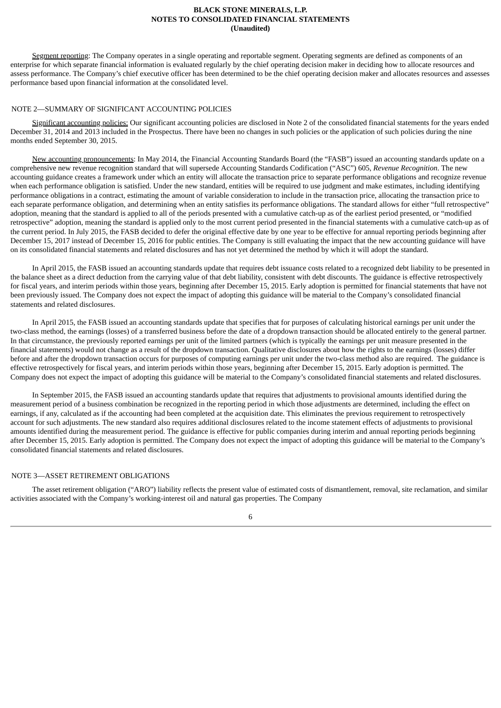Segment reporting: The Company operates in a single operating and reportable segment. Operating segments are defined as components of an enterprise for which separate financial information is evaluated regularly by the chief operating decision maker in deciding how to allocate resources and assess performance. The Company's chief executive officer has been determined to be the chief operating decision maker and allocates resources and assesses performance based upon financial information at the consolidated level.

#### NOTE 2—SUMMARY OF SIGNIFICANT ACCOUNTING POLICIES

Significant accounting policies: Our significant accounting policies are disclosed in Note 2 of the consolidated financial statements for the years ended December 31, 2014 and 2013 included in the Prospectus. There have been no changes in such policies or the application of such policies during the nine months ended September 30, 2015.

New accounting pronouncements: In May 2014, the Financial Accounting Standards Board (the "FASB") issued an accounting standards update on a comprehensive new revenue recognition standard that will supersede Accounting Standards Codification ("ASC") 605, *Revenue Recognition*. The new accounting guidance creates a framework under which an entity will allocate the transaction price to separate performance obligations and recognize revenue when each performance obligation is satisfied. Under the new standard, entities will be required to use judgment and make estimates, including identifying performance obligations in a contract, estimating the amount of variable consideration to include in the transaction price, allocating the transaction price to each separate performance obligation, and determining when an entity satisfies its performance obligations. The standard allows for either "full retrospective" adoption, meaning that the standard is applied to all of the periods presented with a cumulative catch-up as of the earliest period presented, or "modified retrospective" adoption, meaning the standard is applied only to the most current period presented in the financial statements with a cumulative catch-up as of the current period. In July 2015, the FASB decided to defer the original effective date by one year to be effective for annual reporting periods beginning after December 15, 2017 instead of December 15, 2016 for public entities. The Company is still evaluating the impact that the new accounting guidance will have on its consolidated financial statements and related disclosures and has not yet determined the method by which it will adopt the standard.

In April 2015, the FASB issued an accounting standards update that requires debt issuance costs related to a recognized debt liability to be presented in the balance sheet as a direct deduction from the carrying value of that debt liability, consistent with debt discounts. The guidance is effective retrospectively for fiscal years, and interim periods within those years, beginning after December 15, 2015. Early adoption is permitted for financial statements that have not been previously issued. The Company does not expect the impact of adopting this guidance will be material to the Company's consolidated financial statements and related disclosures.

In April 2015, the FASB issued an accounting standards update that specifies that for purposes of calculating historical earnings per unit under the two-class method, the earnings (losses) of a transferred business before the date of a dropdown transaction should be allocated entirely to the general partner. In that circumstance, the previously reported earnings per unit of the limited partners (which is typically the earnings per unit measure presented in the financial statements) would not change as a result of the dropdown transaction. Qualitative disclosures about how the rights to the earnings (losses) differ before and after the dropdown transaction occurs for purposes of computing earnings per unit under the two-class method also are required. The guidance is effective retrospectively for fiscal years, and interim periods within those years, beginning after December 15, 2015. Early adoption is permitted. The Company does not expect the impact of adopting this guidance will be material to the Company's consolidated financial statements and related disclosures.

In September 2015, the FASB issued an accounting standards update that requires that adjustments to provisional amounts identified during the measurement period of a business combination be recognized in the reporting period in which those adjustments are determined, including the effect on earnings, if any, calculated as if the accounting had been completed at the acquisition date. This eliminates the previous requirement to retrospectively account for such adjustments. The new standard also requires additional disclosures related to the income statement effects of adjustments to provisional amounts identified during the measurement period. The guidance is effective for public companies during interim and annual reporting periods beginning after December 15, 2015. Early adoption is permitted. The Company does not expect the impact of adopting this guidance will be material to the Company's consolidated financial statements and related disclosures.

# NOTE 3—ASSET RETIREMENT OBLIGATIONS

The asset retirement obligation ("ARO") liability reflects the present value of estimated costs of dismantlement, removal, site reclamation, and similar activities associated with the Company's working-interest oil and natural gas properties. The Company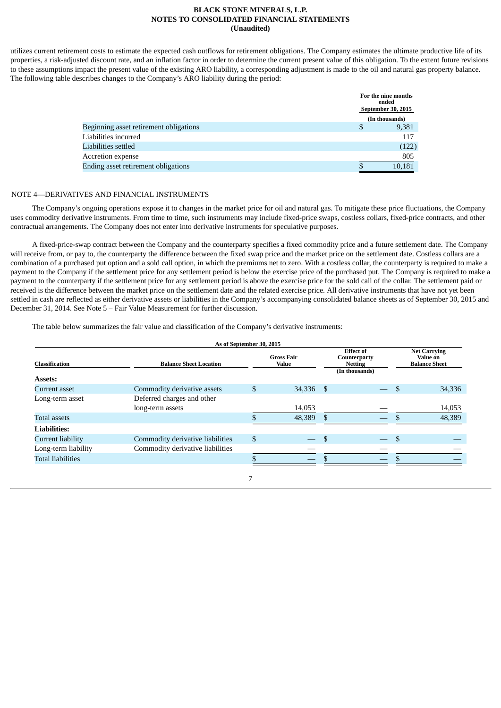utilizes current retirement costs to estimate the expected cash outflows for retirement obligations. The Company estimates the ultimate productive life of its properties, a risk-adjusted discount rate, and an inflation factor in order to determine the current present value of this obligation. To the extent future revisions to these assumptions impact the present value of the existing ARO liability, a corresponding adjustment is made to the oil and natural gas property balance. The following table describes changes to the Company's ARO liability during the period:

|                                        | For the nine months<br>ended<br>September 30, 2015 |        |
|----------------------------------------|----------------------------------------------------|--------|
|                                        | (In thousands)                                     |        |
| Beginning asset retirement obligations | \$                                                 | 9,381  |
| Liabilities incurred                   |                                                    | 117    |
| Liabilities settled                    |                                                    | (122)  |
| Accretion expense                      |                                                    | 805    |
| Ending asset retirement obligations    |                                                    | 10,181 |

#### NOTE 4—DERIVATIVES AND FINANCIAL INSTRUMENTS

The Company's ongoing operations expose it to changes in the market price for oil and natural gas. To mitigate these price fluctuations, the Company uses commodity derivative instruments. From time to time, such instruments may include fixed-price swaps, costless collars, fixed-price contracts, and other contractual arrangements. The Company does not enter into derivative instruments for speculative purposes.

A fixed-price-swap contract between the Company and the counterparty specifies a fixed commodity price and a future settlement date. The Company will receive from, or pay to, the counterparty the difference between the fixed swap price and the market price on the settlement date. Costless collars are a combination of a purchased put option and a sold call option, in which the premiums net to zero. With a costless collar, the counterparty is required to make a payment to the Company if the settlement price for any settlement period is below the exercise price of the purchased put. The Company is required to make a payment to the counterparty if the settlement price for any settlement period is above the exercise price for the sold call of the collar. The settlement paid or received is the difference between the market price on the settlement date and the related exercise price. All derivative instruments that have not yet been settled in cash are reflected as either derivative assets or liabilities in the Company's accompanying consolidated balance sheets as of September 30, 2015 and December 31, 2014. See Note 5 – Fair Value Measurement for further discussion.

The table below summarizes the fair value and classification of the Company's derivative instruments:

| As of September 30, 2015         |                                                |                            |                          |               |                                                                      |              |                                                         |  |  |  |
|----------------------------------|------------------------------------------------|----------------------------|--------------------------|---------------|----------------------------------------------------------------------|--------------|---------------------------------------------------------|--|--|--|
| <b>Classification</b><br>Assets: | <b>Balance Sheet Location</b>                  | <b>Gross Fair</b><br>Value |                          |               | <b>Effect of</b><br>Counterparty<br><b>Netting</b><br>(In thousands) |              | <b>Net Carrying</b><br>Value on<br><b>Balance Sheet</b> |  |  |  |
| Current asset                    | Commodity derivative assets                    | \$                         | 34,336 \$                |               |                                                                      | $\mathbf{s}$ | 34,336                                                  |  |  |  |
| Long-term asset<br>Total assets  | Deferred charges and other<br>long-term assets |                            | 14,053<br>48,389         |               |                                                                      |              | 14,053                                                  |  |  |  |
| <b>Liabilities:</b>              |                                                |                            |                          |               |                                                                      |              | 48,389                                                  |  |  |  |
| Current liability                | Commodity derivative liabilities               | \$                         | $\overline{\phantom{0}}$ | <sup>\$</sup> |                                                                      | \$           |                                                         |  |  |  |
| Long-term liability              | Commodity derivative liabilities               |                            |                          |               |                                                                      |              |                                                         |  |  |  |
| <b>Total liabilities</b>         |                                                |                            |                          |               |                                                                      |              |                                                         |  |  |  |
|                                  |                                                |                            |                          |               |                                                                      |              |                                                         |  |  |  |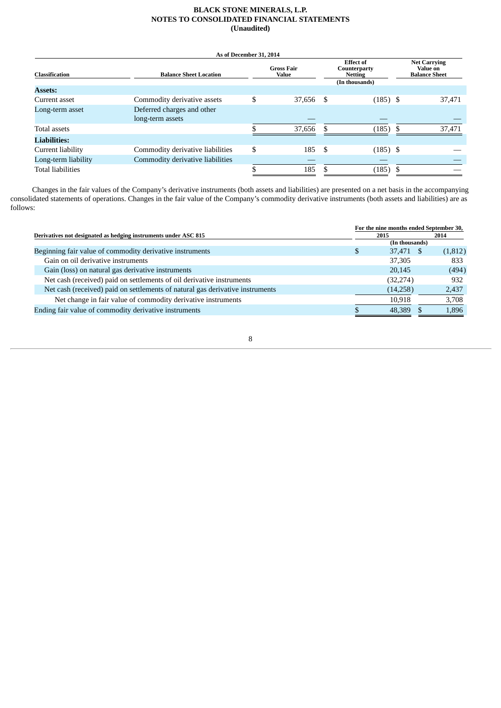| As of December 31, 2014  |                                                |    |        |     |                                                                      |  |                                                         |  |  |  |
|--------------------------|------------------------------------------------|----|--------|-----|----------------------------------------------------------------------|--|---------------------------------------------------------|--|--|--|
| <b>Classification</b>    | <b>Balance Sheet Location</b>                  |    |        |     | <b>Effect of</b><br>Counterparty<br><b>Netting</b><br>(In thousands) |  | <b>Net Carrying</b><br>Value on<br><b>Balance Sheet</b> |  |  |  |
| <b>Assets:</b>           |                                                |    |        |     |                                                                      |  |                                                         |  |  |  |
| Current asset            | Commodity derivative assets                    | \$ | 37,656 | -\$ | $(185)$ \$                                                           |  | 37,471                                                  |  |  |  |
| Long-term asset          | Deferred charges and other<br>long-term assets |    |        |     |                                                                      |  |                                                         |  |  |  |
| Total assets             |                                                |    | 37,656 | S.  | (185)                                                                |  | 37,471                                                  |  |  |  |
| <b>Liabilities:</b>      |                                                |    |        |     |                                                                      |  |                                                         |  |  |  |
| Current liability        | Commodity derivative liabilities               | \$ | 185    | -\$ | $(185)$ \$                                                           |  |                                                         |  |  |  |
| Long-term liability      | Commodity derivative liabilities               |    |        |     |                                                                      |  |                                                         |  |  |  |
| <b>Total liabilities</b> |                                                |    | 185    |     | (185)                                                                |  |                                                         |  |  |  |

Changes in the fair values of the Company's derivative instruments (both assets and liabilities) are presented on a net basis in the accompanying consolidated statements of operations. Changes in the fair value of the Company's commodity derivative instruments (both assets and liabilities) are as follows:

|                                                                               |   | For the nine months ended September 30, |         |  |  |  |
|-------------------------------------------------------------------------------|---|-----------------------------------------|---------|--|--|--|
| Derivatives not designated as hedging instruments under ASC 815               |   | 2015                                    | 2014    |  |  |  |
|                                                                               |   | (In thousands)                          |         |  |  |  |
| Beginning fair value of commodity derivative instruments                      | S | 37,471 \$                               | (1,812) |  |  |  |
| Gain on oil derivative instruments                                            |   | 37,305                                  | 833     |  |  |  |
| Gain (loss) on natural gas derivative instruments                             |   | 20,145                                  | (494)   |  |  |  |
| Net cash (received) paid on settlements of oil derivative instruments         |   | (32, 274)                               | 932     |  |  |  |
| Net cash (received) paid on settlements of natural gas derivative instruments |   | (14,258)                                | 2,437   |  |  |  |
| Net change in fair value of commodity derivative instruments                  |   | 10.918                                  | 3,708   |  |  |  |
| Ending fair value of commodity derivative instruments                         |   | 48,389                                  | 1.896   |  |  |  |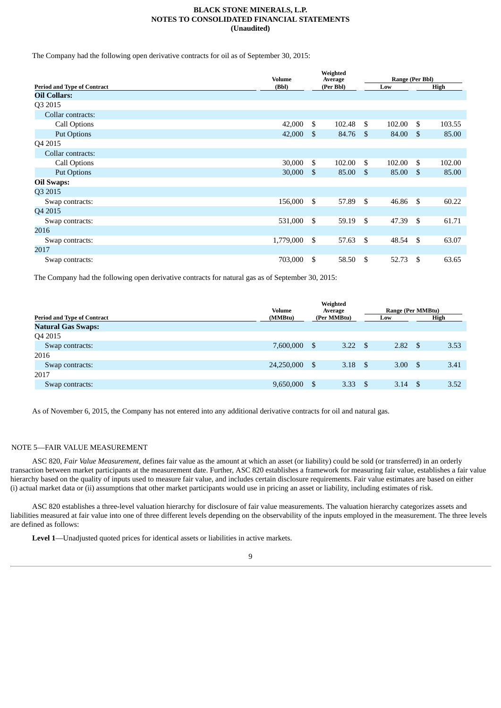The Company had the following open derivative contracts for oil as of September 30, 2015:

|                                    | Volume    |           | Weighted<br>Average |    | Range (Per Bbl) |      |        |  |  |
|------------------------------------|-----------|-----------|---------------------|----|-----------------|------|--------|--|--|
| <b>Period and Type of Contract</b> | (Bbl)     | (Per Bbl) |                     |    | Low             | High |        |  |  |
| <b>Oil Collars:</b>                |           |           |                     |    |                 |      |        |  |  |
| Q3 2015                            |           |           |                     |    |                 |      |        |  |  |
| Collar contracts:                  |           |           |                     |    |                 |      |        |  |  |
| Call Options                       | 42,000    | \$        | 102.48              | \$ | 102.00          | \$   | 103.55 |  |  |
| <b>Put Options</b>                 | 42,000    | \$.       | 84.76               | \$ | 84.00           | \$   | 85.00  |  |  |
| Q4 2015                            |           |           |                     |    |                 |      |        |  |  |
| Collar contracts:                  |           |           |                     |    |                 |      |        |  |  |
| Call Options                       | 30,000    | \$        | 102.00              | \$ | 102.00          | \$   | 102.00 |  |  |
| <b>Put Options</b>                 | 30,000    | \$        | 85.00               | \$ | 85.00           | \$   | 85.00  |  |  |
| <b>Oil Swaps:</b>                  |           |           |                     |    |                 |      |        |  |  |
| Q3 2015                            |           |           |                     |    |                 |      |        |  |  |
| Swap contracts:                    | 156,000   | \$        | 57.89               | \$ | 46.86           | -\$  | 60.22  |  |  |
| Q4 2015                            |           |           |                     |    |                 |      |        |  |  |
| Swap contracts:                    | 531,000   | \$        | 59.19               | \$ | 47.39           | \$   | 61.71  |  |  |
| 2016                               |           |           |                     |    |                 |      |        |  |  |
| Swap contracts:                    | 1,779,000 | \$        | 57.63               | \$ | 48.54           | \$   | 63.07  |  |  |
| 2017                               |           |           |                     |    |                 |      |        |  |  |
| Swap contracts:                    | 703,000   | \$        | 58.50               | \$ | 52.73           | \$   | 63.65  |  |  |

The Company had the following open derivative contracts for natural gas as of September 30, 2015:

|                                    | Volume     |             | Weighted<br>Average |      | Range (Per MMBtu) |      |      |
|------------------------------------|------------|-------------|---------------------|------|-------------------|------|------|
| <b>Period and Type of Contract</b> | (MMBtu)    | (Per MMBtu) |                     | Low  |                   |      | High |
| <b>Natural Gas Swaps:</b>          |            |             |                     |      |                   |      |      |
| Q4 2015                            |            |             |                     |      |                   |      |      |
| Swap contracts:                    | 7,600,000  | S.          | 3.22                | - \$ | 2.82              | - \$ | 3.53 |
| 2016                               |            |             |                     |      |                   |      |      |
| Swap contracts:                    | 24,250,000 | S.          | 3.18                | - \$ | 3.00              | - \$ | 3.41 |
| 2017                               |            |             |                     |      |                   |      |      |
| Swap contracts:                    | 9,650,000  | \$          | 3.33                | - \$ | 3.14              | - \$ | 3.52 |
|                                    |            |             |                     |      |                   |      |      |

As of November 6, 2015, the Company has not entered into any additional derivative contracts for oil and natural gas.

# NOTE 5—FAIR VALUE MEASUREMENT

ASC 820, *Fair Value Measurement,* defines fair value as the amount at which an asset (or liability) could be sold (or transferred) in an orderly transaction between market participants at the measurement date. Further, ASC 820 establishes a framework for measuring fair value, establishes a fair value hierarchy based on the quality of inputs used to measure fair value, and includes certain disclosure requirements. Fair value estimates are based on either (i) actual market data or (ii) assumptions that other market participants would use in pricing an asset or liability, including estimates of risk.

ASC 820 establishes a three-level valuation hierarchy for disclosure of fair value measurements. The valuation hierarchy categorizes assets and liabilities measured at fair value into one of three different levels depending on the observability of the inputs employed in the measurement. The three levels are defined as follows:

**Level 1**—Unadjusted quoted prices for identical assets or liabilities in active markets.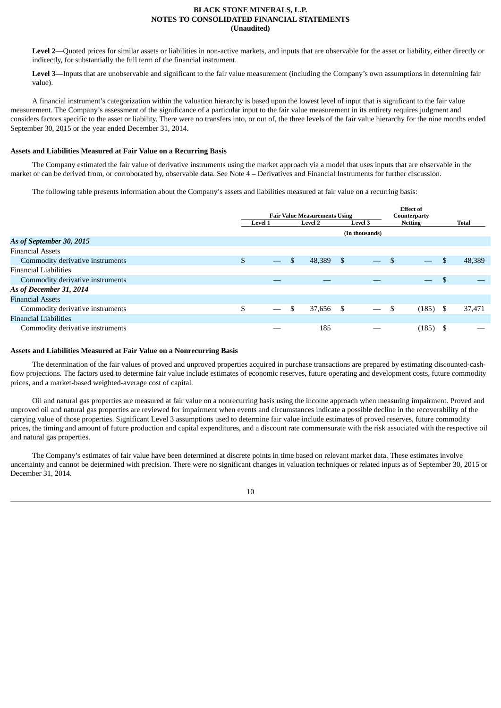**Level 2**—Quoted prices for similar assets or liabilities in non-active markets, and inputs that are observable for the asset or liability, either directly or indirectly, for substantially the full term of the financial instrument.

**Level 3**—Inputs that are unobservable and significant to the fair value measurement (including the Company's own assumptions in determining fair value).

A financial instrument's categorization within the valuation hierarchy is based upon the lowest level of input that is significant to the fair value measurement. The Company's assessment of the significance of a particular input to the fair value measurement in its entirety requires judgment and considers factors specific to the asset or liability. There were no transfers into, or out of, the three levels of the fair value hierarchy for the nine months ended September 30, 2015 or the year ended December 31, 2014.

# **Assets and Liabilities Measured at Fair Value on a Recurring Basis**

The Company estimated the fair value of derivative instruments using the market approach via a model that uses inputs that are observable in the market or can be derived from, or corroborated by, observable data. See Note 4 – Derivatives and Financial Instruments for further discussion.

The following table presents information about the Company's assets and liabilities measured at fair value on a recurring basis:

|                                  | <b>Fair Value Measurements Using</b> |                          |                |           |               | <b>Effect of</b><br>Counterparty |                |            |    |              |
|----------------------------------|--------------------------------------|--------------------------|----------------|-----------|---------------|----------------------------------|----------------|------------|----|--------------|
|                                  | <b>Level 1</b>                       |                          | <b>Level 2</b> |           | Level 3       |                                  | <b>Netting</b> |            |    | <b>Total</b> |
|                                  |                                      |                          |                |           |               | (In thousands)                   |                |            |    |              |
| As of September 30, 2015         |                                      |                          |                |           |               |                                  |                |            |    |              |
| <b>Financial Assets</b>          |                                      |                          |                |           |               |                                  |                |            |    |              |
| Commodity derivative instruments | \$                                   |                          | \$             | 48,389    | <sup>\$</sup> | $-$ \$                           |                |            | \$ | 48,389       |
| <b>Financial Liabilities</b>     |                                      |                          |                |           |               |                                  |                |            |    |              |
| Commodity derivative instruments |                                      |                          |                |           |               |                                  |                |            | \$ |              |
| As of December 31, 2014          |                                      |                          |                |           |               |                                  |                |            |    |              |
| <b>Financial Assets</b>          |                                      |                          |                |           |               |                                  |                |            |    |              |
| Commodity derivative instruments | \$                                   | $\overline{\phantom{0}}$ | \$             | 37,656 \$ |               | $-$ \$                           |                | $(185)$ \$ |    | 37,471       |
| <b>Financial Liabilities</b>     |                                      |                          |                |           |               |                                  |                |            |    |              |
| Commodity derivative instruments |                                      |                          |                | 185       |               |                                  |                | $(185)$ \$ |    |              |

# **Assets and Liabilities Measured at Fair Value on a Nonrecurring Basis**

The determination of the fair values of proved and unproved properties acquired in purchase transactions are prepared by estimating discounted-cashflow projections. The factors used to determine fair value include estimates of economic reserves, future operating and development costs, future commodity prices, and a market-based weighted-average cost of capital.

Oil and natural gas properties are measured at fair value on a nonrecurring basis using the income approach when measuring impairment. Proved and unproved oil and natural gas properties are reviewed for impairment when events and circumstances indicate a possible decline in the recoverability of the carrying value of those properties. Significant Level 3 assumptions used to determine fair value include estimates of proved reserves, future commodity prices, the timing and amount of future production and capital expenditures, and a discount rate commensurate with the risk associated with the respective oil and natural gas properties.

The Company's estimates of fair value have been determined at discrete points in time based on relevant market data. These estimates involve uncertainty and cannot be determined with precision. There were no significant changes in valuation techniques or related inputs as of September 30, 2015 or December 31, 2014.

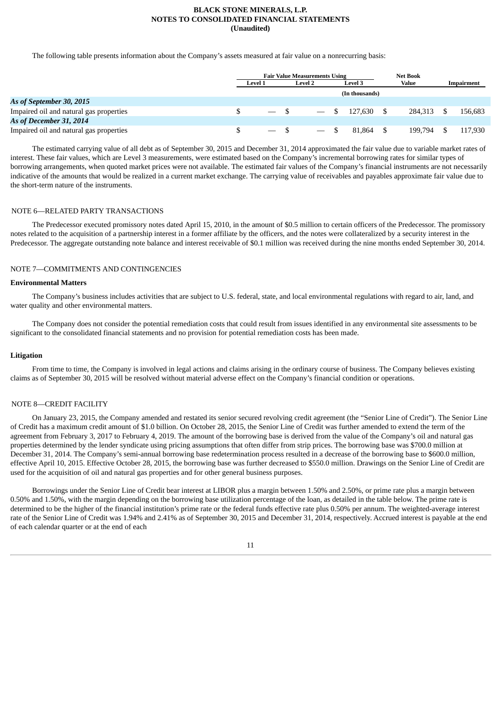The following table presents information about the Company's assets measured at fair value on a nonrecurring basis:

|                                         | <b>Fair Value Measurements Using</b> |  |                                         |     |                |  | <b>Net Book</b> |  |            |
|-----------------------------------------|--------------------------------------|--|-----------------------------------------|-----|----------------|--|-----------------|--|------------|
|                                         | <b>Level 1</b>                       |  | <b>Level 2</b>                          |     | <b>Level 3</b> |  | Value           |  | Impairment |
|                                         |                                      |  |                                         |     | (In thousands) |  |                 |  |            |
| As of September 30, 2015                |                                      |  |                                         |     |                |  |                 |  |            |
| Impaired oil and natural gas properties | $-$ S                                |  | $\overline{\phantom{0}}$                | -SS | 127.630        |  | 284,313         |  | 156.683    |
| As of December 31, 2014                 |                                      |  |                                         |     |                |  |                 |  |            |
| Impaired oil and natural gas properties | $\hspace{0.1mm}-\hspace{0.1mm}$      |  | $\hspace{1.0cm} \overline{\phantom{0}}$ |     | 81.864         |  | 199.794         |  | 117.930    |

The estimated carrying value of all debt as of September 30, 2015 and December 31, 2014 approximated the fair value due to variable market rates of interest. These fair values, which are Level 3 measurements, were estimated based on the Company's incremental borrowing rates for similar types of borrowing arrangements, when quoted market prices were not available. The estimated fair values of the Company's financial instruments are not necessarily indicative of the amounts that would be realized in a current market exchange. The carrying value of receivables and payables approximate fair value due to the short-term nature of the instruments.

# NOTE 6—RELATED PARTY TRANSACTIONS

The Predecessor executed promissory notes dated April 15, 2010, in the amount of \$0.5 million to certain officers of the Predecessor. The promissory notes related to the acquisition of a partnership interest in a former affiliate by the officers, and the notes were collateralized by a security interest in the Predecessor. The aggregate outstanding note balance and interest receivable of \$0.1 million was received during the nine months ended September 30, 2014.

## NOTE 7—COMMITMENTS AND CONTINGENCIES

#### **Environmental Matters**

The Company's business includes activities that are subject to U.S. federal, state, and local environmental regulations with regard to air, land, and water quality and other environmental matters.

The Company does not consider the potential remediation costs that could result from issues identified in any environmental site assessments to be significant to the consolidated financial statements and no provision for potential remediation costs has been made.

#### **Litigation**

From time to time, the Company is involved in legal actions and claims arising in the ordinary course of business. The Company believes existing claims as of September 30, 2015 will be resolved without material adverse effect on the Company's financial condition or operations.

# NOTE 8—CREDIT FACILITY

On January 23, 2015, the Company amended and restated its senior secured revolving credit agreement (the "Senior Line of Credit"). The Senior Line of Credit has a maximum credit amount of \$1.0 billion. On October 28, 2015, the Senior Line of Credit was further amended to extend the term of the agreement from February 3, 2017 to February 4, 2019. The amount of the borrowing base is derived from the value of the Company's oil and natural gas properties determined by the lender syndicate using pricing assumptions that often differ from strip prices. The borrowing base was \$700.0 million at December 31, 2014. The Company's semi-annual borrowing base redetermination process resulted in a decrease of the borrowing base to \$600.0 million, effective April 10, 2015. Effective October 28, 2015, the borrowing base was further decreased to \$550.0 million. Drawings on the Senior Line of Credit are used for the acquisition of oil and natural gas properties and for other general business purposes.

Borrowings under the Senior Line of Credit bear interest at LIBOR plus a margin between 1.50% and 2.50%, or prime rate plus a margin between 0.50% and 1.50%, with the margin depending on the borrowing base utilization percentage of the loan, as detailed in the table below. The prime rate is determined to be the higher of the financial institution's prime rate or the federal funds effective rate plus 0.50% per annum. The weighted-average interest rate of the Senior Line of Credit was 1.94% and 2.41% as of September 30, 2015 and December 31, 2014, respectively. Accrued interest is payable at the end of each calendar quarter or at the end of each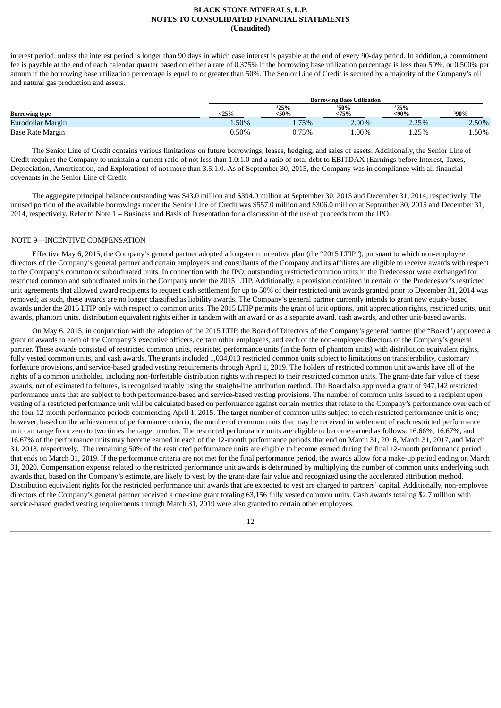interest period, unless the interest period is longer than 90 days in which case interest is payable at the end of every 90-day period. In addition, a commitment fee is payable at the end of each calendar quarter based on either a rate of 0.375% if the borrowing base utilization percentage is less than 50%, or 0.500% per annum if the borrowing base utilization percentage is equal to or greater than 50%. The Senior Line of Credit is secured by a majority of the Company's oil and natural gas production and assets.

|                       | <b>Borrowing Base Utilization</b> |              |                  |              |          |  |  |  |  |  |
|-----------------------|-----------------------------------|--------------|------------------|--------------|----------|--|--|--|--|--|
| <b>Borrowing type</b> | $<$ 25%                           | 325%<br>≤50% | 350%<br>$< 75\%$ | 375%<br><90% | 390%     |  |  |  |  |  |
| Eurodollar Margin     | 1.50%                             | $1.75\%$     | 2.00%            | 2.25%        | 2.50%    |  |  |  |  |  |
| Base Rate Margin      | $0.50\%$                          | 0.75%        | $0.00\%$         | 35%،         | $1.50\%$ |  |  |  |  |  |

The Senior Line of Credit contains various limitations on future borrowings, leases, hedging, and sales of assets. Additionally, the Senior Line of Credit requires the Company to maintain a current ratio of not less than 1.0:1.0 and a ratio of total debt to EBITDAX (Earnings before Interest, Taxes, Depreciation, Amortization, and Exploration) of not more than 3.5:1.0. As of September 30, 2015, the Company was in compliance with all financial covenants in the Senior Line of Credit.

The aggregate principal balance outstanding was \$43.0 million and \$394.0 million at September 30, 2015 and December 31, 2014, respectively. The unused portion of the available borrowings under the Senior Line of Credit was \$557.0 million and \$306.0 million at September 30, 2015 and December 31, 2014, respectively. Refer to Note 1 – Business and Basis of Presentation for a discussion of the use of proceeds from the IPO.

# NOTE 9—INCENTIVE COMPENSATION

Effective May 6, 2015, the Company's general partner adopted a long-term incentive plan (the "2015 LTIP"), pursuant to which non-employee directors of the Company's general partner and certain employees and consultants of the Company and its affiliates are eligible to receive awards with respect to the Company's common or subordinated units. In connection with the IPO, outstanding restricted common units in the Predecessor were exchanged for restricted common and subordinated units in the Company under the 2015 LTIP. Additionally, a provision contained in certain of the Predecessor's restricted unit agreements that allowed award recipients to request cash settlement for up to 50% of their restricted unit awards granted prior to December 31, 2014 was removed; as such, these awards are no longer classified as liability awards. The Company's general partner currently intends to grant new equity-based awards under the 2015 LTIP only with respect to common units. The 2015 LTIP permits the grant of unit options, unit appreciation rights, restricted units, unit awards, phantom units, distribution equivalent rights either in tandem with an award or as a separate award, cash awards, and other unit-based awards.

On May 6, 2015, in conjunction with the adoption of the 2015 LTIP, the Board of Directors of the Company's general partner (the "Board") approved a grant of awards to each of the Company's executive officers, certain other employees, and each of the non-employee directors of the Company's general partner. These awards consisted of restricted common units, restricted performance units (in the form of phantom units) with distribution equivalent rights, fully vested common units, and cash awards. The grants included 1,034,013 restricted common units subject to limitations on transferability, customary forfeiture provisions, and service-based graded vesting requirements through April 1, 2019. The holders of restricted common unit awards have all of the rights of a common unitholder, including non-forfeitable distribution rights with respect to their restricted common units. The grant-date fair value of these awards, net of estimated forfeitures, is recognized ratably using the straight-line attribution method. The Board also approved a grant of 947,142 restricted performance units that are subject to both performance-based and service-based vesting provisions. The number of common units issued to a recipient upon vesting of a restricted performance unit will be calculated based on performance against certain metrics that relate to the Company's performance over each of the four 12-month performance periods commencing April 1, 2015. The target number of common units subject to each restricted performance unit is one; however, based on the achievement of performance criteria, the number of common units that may be received in settlement of each restricted performance unit can range from zero to two times the target number. The restricted performance units are eligible to become earned as follows: 16.66%, 16.67%, and 16.67% of the performance units may become earned in each of the 12-month performance periods that end on March 31, 2016, March 31, 2017, and March 31, 2018, respectively. The remaining 50% of the restricted performance units are eligible to become earned during the final 12-month performance period that ends on March 31, 2019. If the performance criteria are not met for the final performance period, the awards allow for a make-up period ending on March 31, 2020. Compensation expense related to the restricted performance unit awards is determined by multiplying the number of common units underlying such awards that, based on the Company's estimate, are likely to vest, by the grant-date fair value and recognized using the accelerated attribution method. Distribution equivalent rights for the restricted performance unit awards that are expected to vest are charged to partners' capital. Additionally, non-employee directors of the Company's general partner received a one-time grant totaling 63,156 fully vested common units. Cash awards totaling \$2.7 million with service-based graded vesting requirements through March 31, 2019 were also granted to certain other employees.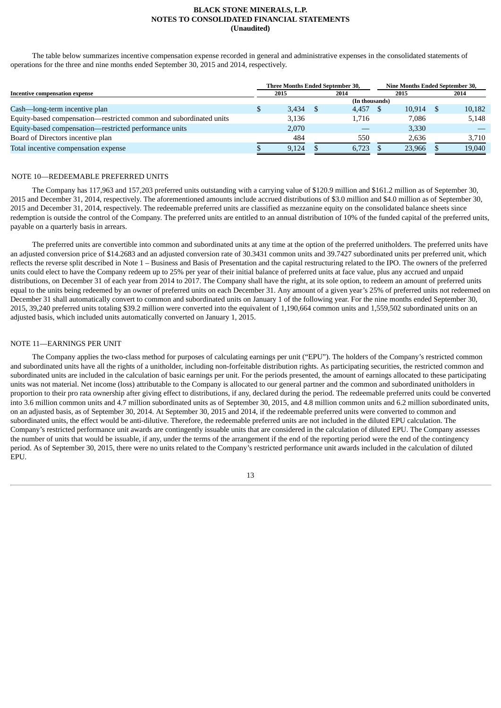The table below summarizes incentive compensation expense recorded in general and administrative expenses in the consolidated statements of operations for the three and nine months ended September 30, 2015 and 2014, respectively.

|                                                                    | <b>Three Months Ended September 30,</b> |                | Nine Months Ended September 30, |        |  |        |  |  |
|--------------------------------------------------------------------|-----------------------------------------|----------------|---------------------------------|--------|--|--------|--|--|
| Incentive compensation expense                                     | 2015                                    | 2014           |                                 | 2015   |  | 2014   |  |  |
|                                                                    |                                         | (In thousands) |                                 |        |  |        |  |  |
| Cash—long-term incentive plan                                      | 3.434                                   | 4,457 \$       |                                 | 10.914 |  | 10,182 |  |  |
| Equity-based compensation—restricted common and subordinated units | 3,136                                   | 1.716          |                                 | 7.086  |  | 5,148  |  |  |
| Equity-based compensation-restricted performance units             | 2,070                                   |                |                                 | 3,330  |  |        |  |  |
| Board of Directors incentive plan                                  | 484                                     | 550            |                                 | 2.636  |  | 3,710  |  |  |
| Total incentive compensation expense                               | 9.124                                   | 6.723          |                                 | 23,966 |  | 19,040 |  |  |

#### NOTE 10—REDEEMABLE PREFERRED UNITS

The Company has 117,963 and 157,203 preferred units outstanding with a carrying value of \$120.9 million and \$161.2 million as of September 30, 2015 and December 31, 2014, respectively. The aforementioned amounts include accrued distributions of \$3.0 million and \$4.0 million as of September 30, 2015 and December 31, 2014, respectively. The redeemable preferred units are classified as mezzanine equity on the consolidated balance sheets since redemption is outside the control of the Company. The preferred units are entitled to an annual distribution of 10% of the funded capital of the preferred units, payable on a quarterly basis in arrears.

The preferred units are convertible into common and subordinated units at any time at the option of the preferred unitholders. The preferred units have an adjusted conversion price of \$14.2683 and an adjusted conversion rate of 30.3431 common units and 39.7427 subordinated units per preferred unit, which reflects the reverse split described in Note 1 – Business and Basis of Presentation and the capital restructuring related to the IPO. The owners of the preferred units could elect to have the Company redeem up to 25% per year of their initial balance of preferred units at face value, plus any accrued and unpaid distributions, on December 31 of each year from 2014 to 2017. The Company shall have the right, at its sole option, to redeem an amount of preferred units equal to the units being redeemed by an owner of preferred units on each December 31. Any amount of a given year's 25% of preferred units not redeemed on December 31 shall automatically convert to common and subordinated units on January 1 of the following year. For the nine months ended September 30, 2015, 39,240 preferred units totaling \$39.2 million were converted into the equivalent of 1,190,664 common units and 1,559,502 subordinated units on an adjusted basis, which included units automatically converted on January 1, 2015.

#### NOTE 11—EARNINGS PER UNIT

The Company applies the two-class method for purposes of calculating earnings per unit ("EPU"). The holders of the Company's restricted common and subordinated units have all the rights of a unitholder, including non-forfeitable distribution rights. As participating securities, the restricted common and subordinated units are included in the calculation of basic earnings per unit. For the periods presented, the amount of earnings allocated to these participating units was not material. Net income (loss) attributable to the Company is allocated to our general partner and the common and subordinated unitholders in proportion to their pro rata ownership after giving effect to distributions, if any, declared during the period. The redeemable preferred units could be converted into 3.6 million common units and 4.7 million subordinated units as of September 30, 2015, and 4.8 million common units and 6.2 million subordinated units, on an adjusted basis, as of September 30, 2014. At September 30, 2015 and 2014, if the redeemable preferred units were converted to common and subordinated units, the effect would be anti-dilutive. Therefore, the redeemable preferred units are not included in the diluted EPU calculation. The Company's restricted performance unit awards are contingently issuable units that are considered in the calculation of diluted EPU. The Company assesses the number of units that would be issuable, if any, under the terms of the arrangement if the end of the reporting period were the end of the contingency period. As of September 30, 2015, there were no units related to the Company's restricted performance unit awards included in the calculation of diluted EPU.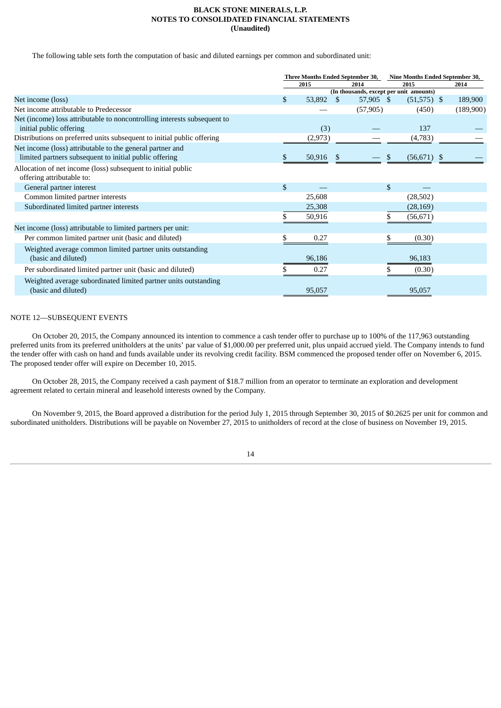The following table sets forth the computation of basic and diluted earnings per common and subordinated unit:

|                                                                          | Three Months Ended September 30, |                                         | Nine Months Ended September 30, |           |  |  |
|--------------------------------------------------------------------------|----------------------------------|-----------------------------------------|---------------------------------|-----------|--|--|
|                                                                          | 2015                             | 2014                                    | 2015                            | 2014      |  |  |
|                                                                          |                                  | (In thousands, except per unit amounts) |                                 |           |  |  |
| Net income (loss)                                                        | \$<br>53,892<br><sup>\$</sup>    | 57,905 \$                               | $(51,575)$ \$                   | 189,900   |  |  |
| Net income attributable to Predecessor                                   |                                  | (57, 905)                               | (450)                           | (189,900) |  |  |
| Net (income) loss attributable to noncontrolling interests subsequent to |                                  |                                         |                                 |           |  |  |
| initial public offering                                                  | (3)                              |                                         | 137                             |           |  |  |
| Distributions on preferred units subsequent to initial public offering   | (2, 973)                         |                                         | (4,783)                         |           |  |  |
| Net income (loss) attributable to the general partner and                |                                  |                                         |                                 |           |  |  |
| limited partners subsequent to initial public offering                   | 50,916<br><sup>\$</sup>          |                                         | $(56, 671)$ \$                  |           |  |  |
| Allocation of net income (loss) subsequent to initial public             |                                  |                                         |                                 |           |  |  |
| offering attributable to:                                                |                                  |                                         |                                 |           |  |  |
| General partner interest                                                 | \$                               |                                         | $\mathfrak{S}$                  |           |  |  |
| Common limited partner interests                                         | 25,608                           |                                         | (28, 502)                       |           |  |  |
| Subordinated limited partner interests                                   | 25,308                           |                                         | (28, 169)                       |           |  |  |
|                                                                          | 50,916                           |                                         | (56, 671)                       |           |  |  |
| Net income (loss) attributable to limited partners per unit:             |                                  |                                         |                                 |           |  |  |
| Per common limited partner unit (basic and diluted)                      | 0.27                             |                                         | (0.30)                          |           |  |  |
| Weighted average common limited partner units outstanding                |                                  |                                         |                                 |           |  |  |
| (basic and diluted)                                                      | 96,186                           |                                         | 96,183                          |           |  |  |
| Per subordinated limited partner unit (basic and diluted)                | 0.27                             |                                         | (0.30)                          |           |  |  |
| Weighted average subordinated limited partner units outstanding          |                                  |                                         |                                 |           |  |  |
| (basic and diluted)                                                      | 95,057                           |                                         | 95,057                          |           |  |  |
|                                                                          |                                  |                                         |                                 |           |  |  |

# NOTE 12—SUBSEQUENT EVENTS

On October 20, 2015, the Company announced its intention to commence a cash tender offer to purchase up to 100% of the 117,963 outstanding preferred units from its preferred unitholders at the units' par value of \$1,000.00 per preferred unit, plus unpaid accrued yield. The Company intends to fund the tender offer with cash on hand and funds available under its revolving credit facility. BSM commenced the proposed tender offer on November 6, 2015. The proposed tender offer will expire on December 10, 2015.

On October 28, 2015, the Company received a cash payment of \$18.7 million from an operator to terminate an exploration and development agreement related to certain mineral and leasehold interests owned by the Company.

On November 9, 2015, the Board approved a distribution for the period July 1, 2015 through September 30, 2015 of \$0.2625 per unit for common and subordinated unitholders. Distributions will be payable on November 27, 2015 to unitholders of record at the close of business on November 19, 2015.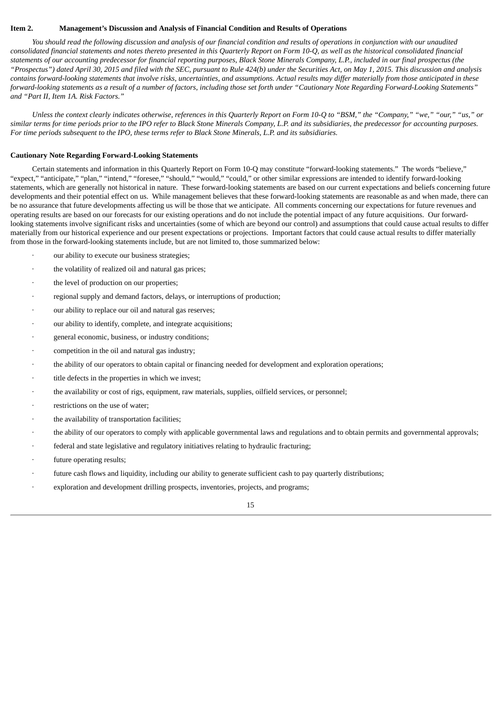# <span id="page-16-0"></span>**Item 2. Management's Discussion and Analysis of Financial Condition and Results of Operations**

You should read the following discussion and analysis of our financial condition and results of operations in conjunction with our unaudited consolidated financial statements and notes thereto presented in this Quarterly Report on Form 10-Q, as well as the historical consolidated financial statements of our accounting predecessor for financial reporting purposes, Black Stone Minerals Company, L.P., included in our final prospectus (the "Prospectus") dated April 30, 2015 and filed with the SEC, pursuant to Rule 424(b) under the Securities Act, on May 1, 2015. This discussion and analysis contains forward-looking statements that involve risks, uncertainties, and assumptions. Actual results may differ materially from those anticipated in these forward-looking statements as a result of a number of factors, including those set forth under "Cautionary Note Regarding Forward-Looking Statements" *and "Part II, Item 1A. Risk Factors."*

Unless the context clearly indicates otherwise, references in this Quarterly Report on Form 10-Q to "BSM," the "Company," "we," "our," "us," or similar terms for time periods prior to the IPO refer to Black Stone Minerals Company, L.P. and its subsidiaries, the predecessor for accounting purposes. For time periods subsequent to the IPO, these terms refer to Black Stone Minerals, L.P. and its subsidiaries.

#### **Cautionary Note Regarding Forward-Looking Statements**

Certain statements and information in this Quarterly Report on Form 10-Q may constitute "forward-looking statements." The words "believe," "expect," "anticipate," "plan," "intend," "foresee," "should," "would," "could," or other similar expressions are intended to identify forward-looking statements, which are generally not historical in nature. These forward-looking statements are based on our current expectations and beliefs concerning future developments and their potential effect on us. While management believes that these forward-looking statements are reasonable as and when made, there can be no assurance that future developments affecting us will be those that we anticipate. All comments concerning our expectations for future revenues and operating results are based on our forecasts for our existing operations and do not include the potential impact of any future acquisitions. Our forwardlooking statements involve significant risks and uncertainties (some of which are beyond our control) and assumptions that could cause actual results to differ materially from our historical experience and our present expectations or projections. Important factors that could cause actual results to differ materially from those in the forward-looking statements include, but are not limited to, those summarized below:

- our ability to execute our business strategies:
- the volatility of realized oil and natural gas prices;
- the level of production on our properties:
- regional supply and demand factors, delays, or interruptions of production;
- our ability to replace our oil and natural gas reserves;
- our ability to identify, complete, and integrate acquisitions;
- general economic, business, or industry conditions;
- competition in the oil and natural gas industry;
- the ability of our operators to obtain capital or financing needed for development and exploration operations;
- title defects in the properties in which we invest;
- the availability or cost of rigs, equipment, raw materials, supplies, oilfield services, or personnel;
- restrictions on the use of water;
- the availability of transportation facilities;
- · the ability of our operators to comply with applicable governmental laws and regulations and to obtain permits and governmental approvals;
- federal and state legislative and regulatory initiatives relating to hydraulic fracturing;
- future operating results;
- future cash flows and liquidity, including our ability to generate sufficient cash to pay quarterly distributions;
- exploration and development drilling prospects, inventories, projects, and programs;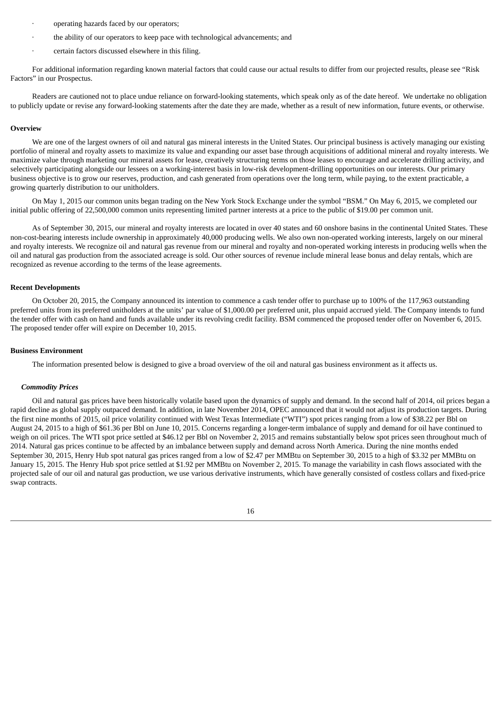- operating hazards faced by our operators;
- the ability of our operators to keep pace with technological advancements; and
- certain factors discussed elsewhere in this filing.

For additional information regarding known material factors that could cause our actual results to differ from our projected results, please see "Risk Factors" in our Prospectus.

Readers are cautioned not to place undue reliance on forward-looking statements, which speak only as of the date hereof. We undertake no obligation to publicly update or revise any forward-looking statements after the date they are made, whether as a result of new information, future events, or otherwise.

#### **Overview**

We are one of the largest owners of oil and natural gas mineral interests in the United States. Our principal business is actively managing our existing portfolio of mineral and royalty assets to maximize its value and expanding our asset base through acquisitions of additional mineral and royalty interests. We maximize value through marketing our mineral assets for lease, creatively structuring terms on those leases to encourage and accelerate drilling activity, and selectively participating alongside our lessees on a working-interest basis in low-risk development-drilling opportunities on our interests. Our primary business objective is to grow our reserves, production, and cash generated from operations over the long term, while paying, to the extent practicable, a growing quarterly distribution to our unitholders.

On May 1, 2015 our common units began trading on the New York Stock Exchange under the symbol "BSM." On May 6, 2015, we completed our initial public offering of 22,500,000 common units representing limited partner interests at a price to the public of \$19.00 per common unit.

As of September 30, 2015, our mineral and royalty interests are located in over 40 states and 60 onshore basins in the continental United States. These non-cost-bearing interests include ownership in approximately 40,000 producing wells. We also own non-operated working interests, largely on our mineral and royalty interests. We recognize oil and natural gas revenue from our mineral and royalty and non-operated working interests in producing wells when the oil and natural gas production from the associated acreage is sold. Our other sources of revenue include mineral lease bonus and delay rentals, which are recognized as revenue according to the terms of the lease agreements.

#### **Recent Developments**

On October 20, 2015, the Company announced its intention to commence a cash tender offer to purchase up to 100% of the 117,963 outstanding preferred units from its preferred unitholders at the units' par value of \$1,000.00 per preferred unit, plus unpaid accrued yield. The Company intends to fund the tender offer with cash on hand and funds available under its revolving credit facility. BSM commenced the proposed tender offer on November 6, 2015. The proposed tender offer will expire on December 10, 2015.

#### **Business Environment**

The information presented below is designed to give a broad overview of the oil and natural gas business environment as it affects us.

#### *Commodity Prices*

Oil and natural gas prices have been historically volatile based upon the dynamics of supply and demand. In the second half of 2014, oil prices began a rapid decline as global supply outpaced demand. In addition, in late November 2014, OPEC announced that it would not adjust its production targets. During the first nine months of 2015, oil price volatility continued with West Texas Intermediate ("WTI") spot prices ranging from a low of \$38.22 per Bbl on August 24, 2015 to a high of \$61.36 per Bbl on June 10, 2015. Concerns regarding a longer-term imbalance of supply and demand for oil have continued to weigh on oil prices. The WTI spot price settled at \$46.12 per Bbl on November 2, 2015 and remains substantially below spot prices seen throughout much of 2014. Natural gas prices continue to be affected by an imbalance between supply and demand across North America. During the nine months ended September 30, 2015, Henry Hub spot natural gas prices ranged from a low of \$2.47 per MMBtu on September 30, 2015 to a high of \$3.32 per MMBtu on January 15, 2015. The Henry Hub spot price settled at \$1.92 per MMBtu on November 2, 2015. To manage the variability in cash flows associated with the projected sale of our oil and natural gas production, we use various derivative instruments, which have generally consisted of costless collars and fixed-price swap contracts.

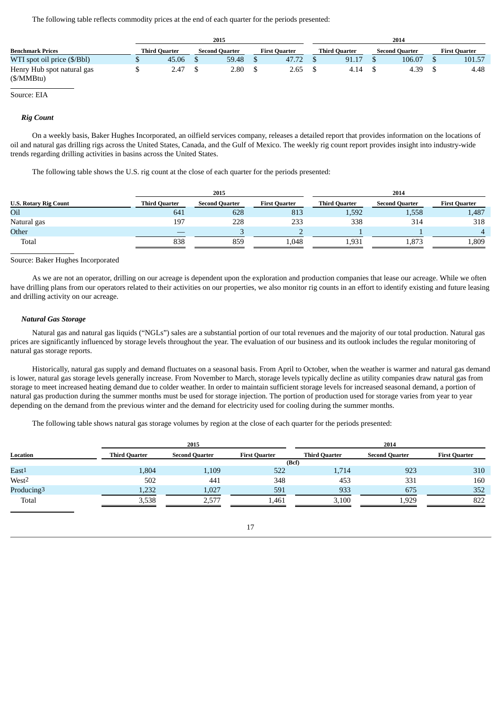The following table reflects commodity prices at the end of each quarter for the periods presented:

|                             | 2015                 |  |                       |  | 2014                 |  |                      |  |                       |  |                      |  |
|-----------------------------|----------------------|--|-----------------------|--|----------------------|--|----------------------|--|-----------------------|--|----------------------|--|
| <b>Benchmark Prices</b>     | <b>Third Ouarter</b> |  | <b>Second Ouarter</b> |  | <b>First Ouarter</b> |  | <b>Third Ouarter</b> |  | <b>Second Ouarter</b> |  | <b>First Ouarter</b> |  |
| WTI spot oil price (\$/Bbl) | 45.06                |  | 59.48                 |  | 47.72                |  | 91.17                |  | 106.07                |  | 101.57               |  |
| Henry Hub spot natural gas  | 2.47                 |  | 2.80                  |  | 2.65                 |  | 4.14                 |  | 4.39                  |  | 4.48                 |  |
| (S/MMBtu)                   |                      |  |                       |  |                      |  |                      |  |                       |  |                      |  |

Source: EIA

#### *Rig Count*

On a weekly basis, Baker Hughes Incorporated, an oilfield services company, releases a detailed report that provides information on the locations of oil and natural gas drilling rigs across the United States, Canada, and the Gulf of Mexico. The weekly rig count report provides insight into industry-wide trends regarding drilling activities in basins across the United States.

The following table shows the U.S. rig count at the close of each quarter for the periods presented:

|                              |                      | 2015                  |                      | 2014                 |                       |                      |  |  |  |
|------------------------------|----------------------|-----------------------|----------------------|----------------------|-----------------------|----------------------|--|--|--|
| <b>U.S. Rotary Rig Count</b> | <b>Third Quarter</b> | <b>Second Quarter</b> | <b>First Quarter</b> | <b>Third Quarter</b> | <b>Second Quarter</b> | <b>First Quarter</b> |  |  |  |
| Oil                          | 641                  | 628                   | 813                  | 1,592                | 1,558                 | 1,487                |  |  |  |
| Natural gas                  | 197                  | 228                   | 233                  | 338                  | 314                   | 318                  |  |  |  |
| Other                        |                      |                       |                      |                      |                       |                      |  |  |  |
| Total                        | 838                  | 859                   | 1.048                | 1,931                | 1,873                 | 1,809                |  |  |  |

#### Source: Baker Hughes Incorporated

As we are not an operator, drilling on our acreage is dependent upon the exploration and production companies that lease our acreage. While we often have drilling plans from our operators related to their activities on our properties, we also monitor rig counts in an effort to identify existing and future leasing and drilling activity on our acreage.

# *Natural Gas Storage*

Natural gas and natural gas liquids ("NGLs") sales are a substantial portion of our total revenues and the majority of our total production. Natural gas prices are significantly influenced by storage levels throughout the year. The evaluation of our business and its outlook includes the regular monitoring of natural gas storage reports.

Historically, natural gas supply and demand fluctuates on a seasonal basis. From April to October, when the weather is warmer and natural gas demand is lower, natural gas storage levels generally increase. From November to March, storage levels typically decline as utility companies draw natural gas from storage to meet increased heating demand due to colder weather. In order to maintain sufficient storage levels for increased seasonal demand, a portion of natural gas production during the summer months must be used for storage injection. The portion of production used for storage varies from year to year depending on the demand from the previous winter and the demand for electricity used for cooling during the summer months.

The following table shows natural gas storage volumes by region at the close of each quarter for the periods presented:

|                        |                      | 2015                  |                      | 2014                 |                       |                      |  |  |  |  |
|------------------------|----------------------|-----------------------|----------------------|----------------------|-----------------------|----------------------|--|--|--|--|
| Location               | <b>Third Quarter</b> | <b>Second Quarter</b> | <b>First Quarter</b> | <b>Third Quarter</b> | <b>Second Quarter</b> | <b>First Quarter</b> |  |  |  |  |
|                        |                      |                       | (Bcf)                |                      |                       |                      |  |  |  |  |
| $\mathrm{East1}$       | 1,804                | 1,109                 | 522                  | 1,714                | 923                   | 310                  |  |  |  |  |
| West <sup>2</sup>      | 502                  | 441                   | 348                  | 453                  | 331                   | 160                  |  |  |  |  |
| Producing <sub>3</sub> | 1,232                | 1,027                 | 591                  | 933                  | 675                   | 352                  |  |  |  |  |
| Total                  | 3,538                | 2,577                 | 1,461                | 3,100                | 1,929                 | 822                  |  |  |  |  |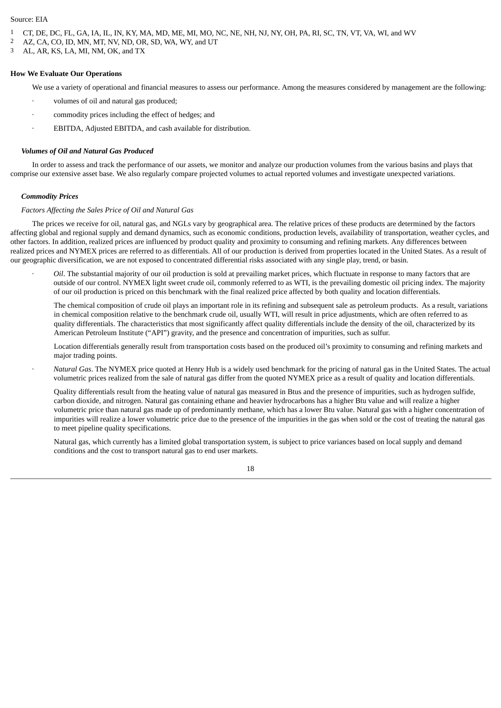#### Source: EIA

- 1 CT, DE, DC, FL, GA, IA, IL, IN, KY, MA, MD, ME, MI, MO, NC, NE, NH, NJ, NY, OH, PA, RI, SC, TN, VT, VA, WI, and WV
- 2 AZ, CA, CO, ID, MN, MT, NV, ND, OR, SD, WA, WY, and UT
- 3 AL, AR, KS, LA, MI, NM, OK, and TX

#### **How We Evaluate Our Operations**

We use a variety of operational and financial measures to assess our performance. Among the measures considered by management are the following:

- · volumes of oil and natural gas produced;
- commodity prices including the effect of hedges; and
- EBITDA, Adjusted EBITDA, and cash available for distribution.

#### *Volumes of Oil and Natural Gas Produced*

In order to assess and track the performance of our assets, we monitor and analyze our production volumes from the various basins and plays that comprise our extensive asset base. We also regularly compare projected volumes to actual reported volumes and investigate unexpected variations.

#### *Commodity Prices*

#### *Factors Affecting the Sales Price of Oil and Natural Gas*

The prices we receive for oil, natural gas, and NGLs vary by geographical area. The relative prices of these products are determined by the factors affecting global and regional supply and demand dynamics, such as economic conditions, production levels, availability of transportation, weather cycles, and other factors. In addition, realized prices are influenced by product quality and proximity to consuming and refining markets. Any differences between realized prices and NYMEX prices are referred to as differentials. All of our production is derived from properties located in the United States. As a result of our geographic diversification, we are not exposed to concentrated differential risks associated with any single play, trend, or basin.

· *Oil*. The substantial majority of our oil production is sold at prevailing market prices, which fluctuate in response to many factors that are outside of our control. NYMEX light sweet crude oil, commonly referred to as WTI, is the prevailing domestic oil pricing index. The majority of our oil production is priced on this benchmark with the final realized price affected by both quality and location differentials.

The chemical composition of crude oil plays an important role in its refining and subsequent sale as petroleum products. As a result, variations in chemical composition relative to the benchmark crude oil, usually WTI, will result in price adjustments, which are often referred to as quality differentials. The characteristics that most significantly affect quality differentials include the density of the oil, characterized by its American Petroleum Institute ("API") gravity, and the presence and concentration of impurities, such as sulfur.

Location differentials generally result from transportation costs based on the produced oil's proximity to consuming and refining markets and major trading points.

· *Natural Gas*. The NYMEX price quoted at Henry Hub is a widely used benchmark for the pricing of natural gas in the United States. The actual volumetric prices realized from the sale of natural gas differ from the quoted NYMEX price as a result of quality and location differentials.

Quality differentials result from the heating value of natural gas measured in Btus and the presence of impurities, such as hydrogen sulfide, carbon dioxide, and nitrogen. Natural gas containing ethane and heavier hydrocarbons has a higher Btu value and will realize a higher volumetric price than natural gas made up of predominantly methane, which has a lower Btu value. Natural gas with a higher concentration of impurities will realize a lower volumetric price due to the presence of the impurities in the gas when sold or the cost of treating the natural gas to meet pipeline quality specifications.

Natural gas, which currently has a limited global transportation system, is subject to price variances based on local supply and demand conditions and the cost to transport natural gas to end user markets.

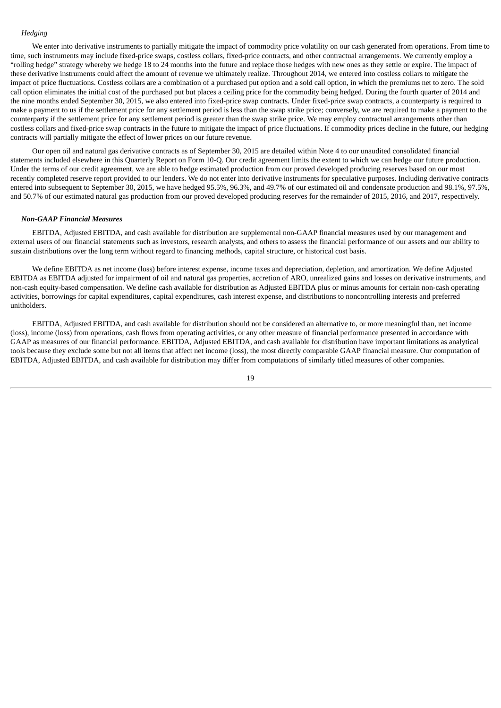# *Hedging*

We enter into derivative instruments to partially mitigate the impact of commodity price volatility on our cash generated from operations. From time to time, such instruments may include fixed-price swaps, costless collars, fixed-price contracts, and other contractual arrangements. We currently employ a "rolling hedge" strategy whereby we hedge 18 to 24 months into the future and replace those hedges with new ones as they settle or expire. The impact of these derivative instruments could affect the amount of revenue we ultimately realize. Throughout 2014, we entered into costless collars to mitigate the impact of price fluctuations. Costless collars are a combination of a purchased put option and a sold call option, in which the premiums net to zero. The sold call option eliminates the initial cost of the purchased put but places a ceiling price for the commodity being hedged. During the fourth quarter of 2014 and the nine months ended September 30, 2015, we also entered into fixed-price swap contracts. Under fixed-price swap contracts, a counterparty is required to make a payment to us if the settlement price for any settlement period is less than the swap strike price; conversely, we are required to make a payment to the counterparty if the settlement price for any settlement period is greater than the swap strike price. We may employ contractual arrangements other than costless collars and fixed-price swap contracts in the future to mitigate the impact of price fluctuations. If commodity prices decline in the future, our hedging contracts will partially mitigate the effect of lower prices on our future revenue.

Our open oil and natural gas derivative contracts as of September 30, 2015 are detailed within Note 4 to our unaudited consolidated financial statements included elsewhere in this Quarterly Report on Form 10-Q. Our credit agreement limits the extent to which we can hedge our future production. Under the terms of our credit agreement, we are able to hedge estimated production from our proved developed producing reserves based on our most recently completed reserve report provided to our lenders. We do not enter into derivative instruments for speculative purposes. Including derivative contracts entered into subsequent to September 30, 2015, we have hedged 95.5%, 96.3%, and 49.7% of our estimated oil and condensate production and 98.1%, 97.5%, and 50.7% of our estimated natural gas production from our proved developed producing reserves for the remainder of 2015, 2016, and 2017, respectively.

# *Non-GAAP Financial Measures*

EBITDA, Adjusted EBITDA, and cash available for distribution are supplemental non-GAAP financial measures used by our management and external users of our financial statements such as investors, research analysts, and others to assess the financial performance of our assets and our ability to sustain distributions over the long term without regard to financing methods, capital structure, or historical cost basis.

We define EBITDA as net income (loss) before interest expense, income taxes and depreciation, depletion, and amortization. We define Adjusted EBITDA as EBITDA adjusted for impairment of oil and natural gas properties, accretion of ARO, unrealized gains and losses on derivative instruments, and non-cash equity-based compensation. We define cash available for distribution as Adjusted EBITDA plus or minus amounts for certain non-cash operating activities, borrowings for capital expenditures, capital expenditures, cash interest expense, and distributions to noncontrolling interests and preferred unitholders.

EBITDA, Adjusted EBITDA, and cash available for distribution should not be considered an alternative to, or more meaningful than, net income (loss), income (loss) from operations, cash flows from operating activities, or any other measure of financial performance presented in accordance with GAAP as measures of our financial performance. EBITDA, Adjusted EBITDA, and cash available for distribution have important limitations as analytical tools because they exclude some but not all items that affect net income (loss), the most directly comparable GAAP financial measure. Our computation of EBITDA, Adjusted EBITDA, and cash available for distribution may differ from computations of similarly titled measures of other companies.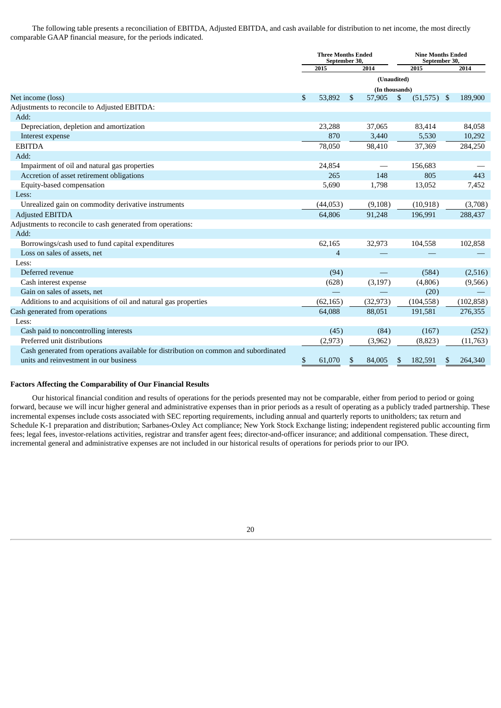The following table presents a reconciliation of EBITDA, Adjusted EBITDA, and cash available for distribution to net income, the most directly comparable GAAP financial measure, for the periods indicated.

|                                                                                      | <b>Three Months Ended</b><br>September 30, |                |               |                |      | <b>Nine Months Ended</b><br>September 30, |    |            |  |
|--------------------------------------------------------------------------------------|--------------------------------------------|----------------|---------------|----------------|------|-------------------------------------------|----|------------|--|
|                                                                                      | 2015<br>2014                               |                |               |                | 2015 |                                           |    | 2014       |  |
|                                                                                      |                                            |                |               |                |      | (Unaudited)                               |    |            |  |
|                                                                                      |                                            |                |               | (In thousands) |      |                                           |    |            |  |
| Net income (loss)                                                                    | \$                                         | 53.892         | <sup>\$</sup> | 57,905         | \$   | $(51,575)$ \$                             |    | 189,900    |  |
| Adjustments to reconcile to Adjusted EBITDA:                                         |                                            |                |               |                |      |                                           |    |            |  |
| Add:                                                                                 |                                            |                |               |                |      |                                           |    |            |  |
| Depreciation, depletion and amortization                                             |                                            | 23,288         |               | 37,065         |      | 83,414                                    |    | 84,058     |  |
| Interest expense                                                                     |                                            | 870            |               | 3,440          |      | 5,530                                     |    | 10,292     |  |
| <b>EBITDA</b>                                                                        |                                            | 78,050         |               | 98,410         |      | 37,369                                    |    | 284,250    |  |
| Add:                                                                                 |                                            |                |               |                |      |                                           |    |            |  |
| Impairment of oil and natural gas properties                                         |                                            | 24,854         |               | —              |      | 156,683                                   |    |            |  |
| Accretion of asset retirement obligations                                            |                                            | 265            |               | 148            |      | 805                                       |    | 443        |  |
| Equity-based compensation                                                            |                                            | 5,690          |               | 1,798          |      | 13,052                                    |    | 7,452      |  |
| Less:                                                                                |                                            |                |               |                |      |                                           |    |            |  |
| Unrealized gain on commodity derivative instruments                                  |                                            | (44,053)       |               | (9,108)        |      | (10, 918)                                 |    | (3,708)    |  |
| <b>Adjusted EBITDA</b>                                                               |                                            | 64,806         |               | 91,248         |      | 196,991                                   |    | 288,437    |  |
| Adjustments to reconcile to cash generated from operations:                          |                                            |                |               |                |      |                                           |    |            |  |
| Add:                                                                                 |                                            |                |               |                |      |                                           |    |            |  |
| Borrowings/cash used to fund capital expenditures                                    |                                            | 62,165         |               | 32,973         |      | 104,558                                   |    | 102,858    |  |
| Loss on sales of assets, net                                                         |                                            | $\overline{4}$ |               |                |      |                                           |    |            |  |
| Less:                                                                                |                                            |                |               |                |      |                                           |    |            |  |
| Deferred revenue                                                                     |                                            | (94)           |               |                |      | (584)                                     |    | (2,516)    |  |
| Cash interest expense                                                                |                                            | (628)          |               | (3, 197)       |      | (4,806)                                   |    | (9,566)    |  |
| Gain on sales of assets, net                                                         |                                            |                |               |                |      | (20)                                      |    |            |  |
| Additions to and acquisitions of oil and natural gas properties                      |                                            | (62, 165)      |               | (32, 973)      |      | (104, 558)                                |    | (102, 858) |  |
| Cash generated from operations                                                       |                                            | 64,088         |               | 88,051         |      | 191,581                                   |    | 276,355    |  |
| Less:                                                                                |                                            |                |               |                |      |                                           |    |            |  |
| Cash paid to noncontrolling interests                                                |                                            | (45)           |               | (84)           |      | (167)                                     |    | (252)      |  |
| Preferred unit distributions                                                         |                                            | (2, 973)       |               | (3,962)        |      | (8,823)                                   |    | (11,763)   |  |
| Cash generated from operations available for distribution on common and subordinated |                                            |                |               |                |      |                                           |    |            |  |
| units and reinvestment in our business                                               | \$                                         | 61,070         | \$            | 84,005         | \$   | 182,591                                   | \$ | 264,340    |  |

# **Factors Affecting the Comparability of Our Financial Results**

Our historical financial condition and results of operations for the periods presented may not be comparable, either from period to period or going forward, because we will incur higher general and administrative expenses than in prior periods as a result of operating as a publicly traded partnership. These incremental expenses include costs associated with SEC reporting requirements, including annual and quarterly reports to unitholders; tax return and Schedule K-1 preparation and distribution; Sarbanes-Oxley Act compliance; New York Stock Exchange listing; independent registered public accounting firm fees; legal fees, investor-relations activities, registrar and transfer agent fees; director-and-officer insurance; and additional compensation. These direct, incremental general and administrative expenses are not included in our historical results of operations for periods prior to our IPO.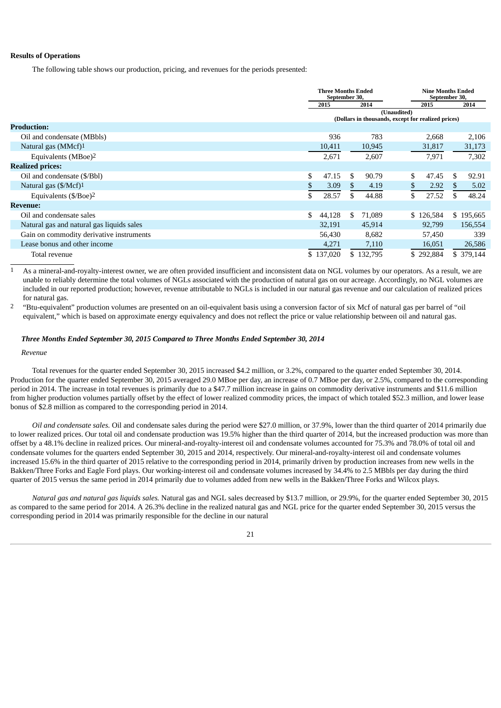# **Results of Operations**

The following table shows our production, pricing, and revenues for the periods presented:

|                                           | <b>Three Months Ended</b><br>September 30, |    |           |             | <b>Nine Months Ended</b><br>September 30,          |     |            |
|-------------------------------------------|--------------------------------------------|----|-----------|-------------|----------------------------------------------------|-----|------------|
|                                           | 2015                                       |    | 2014      |             | 2015                                               |     | 2014       |
|                                           |                                            |    |           | (Unaudited) | (Dollars in thousands, except for realized prices) |     |            |
| <b>Production:</b>                        |                                            |    |           |             |                                                    |     |            |
| Oil and condensate (MBbls)                | 936                                        |    | 783       |             | 2,668                                              |     | 2,106      |
| Natural gas $(MMcf)1$                     | 10,411                                     |    | 10,945    |             | 31,817                                             |     | 31,173     |
| Equivalents (MBoe) <sup>2</sup>           | 2,671                                      |    | 2,607     |             | 7,971                                              |     | 7,302      |
| <b>Realized prices:</b>                   |                                            |    |           |             |                                                    |     |            |
| Oil and condensate (\$/Bbl)               | \$<br>47.15                                | \$ | 90.79     | \$          | 47.45                                              | \$. | 92.91      |
| Natural gas $(\frac{5}{MC})^1$            | \$<br>3.09                                 | S  | 4.19      | \$          | 2.92                                               | \$. | 5.02       |
| Equivalents $(\frac{6}{B}oe)^2$           | \$<br>28.57                                | S  | 44.88     | \$          | 27.52                                              | \$. | 48.24      |
| <b>Revenue:</b>                           |                                            |    |           |             |                                                    |     |            |
| Oil and condensate sales                  | \$<br>44,128                               | \$ | 71,089    |             | \$126,584                                          |     | \$195,665  |
| Natural gas and natural gas liquids sales | 32,191                                     |    | 45,914    |             | 92,799                                             |     | 156,554    |
| Gain on commodity derivative instruments  | 56,430                                     |    | 8,682     |             | 57,450                                             |     | 339        |
| Lease bonus and other income              | 4,271                                      |    | 7,110     |             | 16,051                                             |     | 26,586     |
| Total revenue                             | \$137,020                                  |    | \$132,795 |             | \$292,884                                          |     | \$ 379,144 |

1 As a mineral-and-royalty-interest owner, we are often provided insufficient and inconsistent data on NGL volumes by our operators. As a result, we are unable to reliably determine the total volumes of NGLs associated with the production of natural gas on our acreage. Accordingly, no NGL volumes are included in our reported production; however, revenue attributable to NGLs is included in our natural gas revenue and our calculation of realized prices for natural gas.

2 "Btu-equivalent" production volumes are presented on an oil-equivalent basis using a conversion factor of six Mcf of natural gas per barrel of "oil equivalent," which is based on approximate energy equivalency and does not reflect the price or value relationship between oil and natural gas.

#### *Three Months Ended September 30, 2015 Compared to Three Months Ended September 30, 2014*

*Revenue*

Total revenues for the quarter ended September 30, 2015 increased \$4.2 million, or 3.2%, compared to the quarter ended September 30, 2014. Production for the quarter ended September 30, 2015 averaged 29.0 MBoe per day, an increase of 0.7 MBoe per day, or 2.5%, compared to the corresponding period in 2014. The increase in total revenues is primarily due to a \$47.7 million increase in gains on commodity derivative instruments and \$11.6 million from higher production volumes partially offset by the effect of lower realized commodity prices, the impact of which totaled \$52.3 million, and lower lease bonus of \$2.8 million as compared to the corresponding period in 2014.

*Oil and condensate sales.* Oil and condensate sales during the period were \$27.0 million, or 37.9%, lower than the third quarter of 2014 primarily due to lower realized prices. Our total oil and condensate production was 19.5% higher than the third quarter of 2014, but the increased production was more than offset by a 48.1% decline in realized prices. Our mineral-and-royalty-interest oil and condensate volumes accounted for 75.3% and 78.0% of total oil and condensate volumes for the quarters ended September 30, 2015 and 2014, respectively. Our mineral-and-royalty-interest oil and condensate volumes increased 15.6% in the third quarter of 2015 relative to the corresponding period in 2014, primarily driven by production increases from new wells in the Bakken/Three Forks and Eagle Ford plays. Our working-interest oil and condensate volumes increased by 34.4% to 2.5 MBbls per day during the third quarter of 2015 versus the same period in 2014 primarily due to volumes added from new wells in the Bakken/Three Forks and Wilcox plays.

*Natural gas and natural gas liquids sales.* Natural gas and NGL sales decreased by \$13.7 million, or 29.9%, for the quarter ended September 30, 2015 as compared to the same period for 2014. A 26.3% decline in the realized natural gas and NGL price for the quarter ended September 30, 2015 versus the corresponding period in 2014 was primarily responsible for the decline in our natural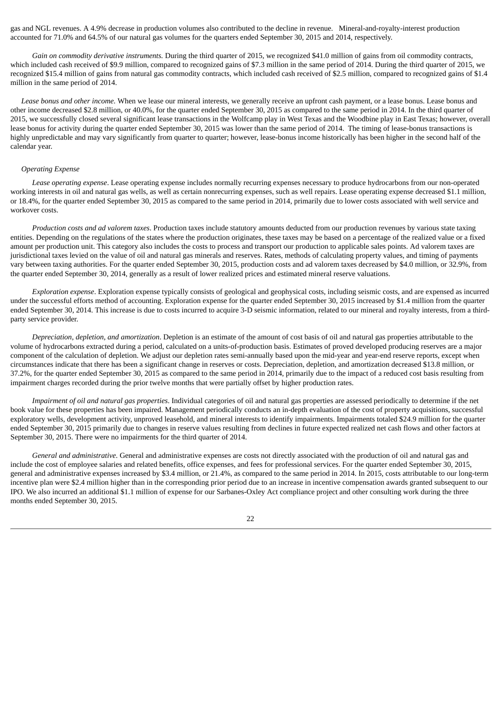gas and NGL revenues. A 4.9% decrease in production volumes also contributed to the decline in revenue. Mineral-and-royalty-interest production accounted for 71.0% and 64.5% of our natural gas volumes for the quarters ended September 30, 2015 and 2014, respectively.

*Gain on commodity derivative instruments.* During the third quarter of 2015, we recognized \$41.0 million of gains from oil commodity contracts, which included cash received of \$9.9 million, compared to recognized gains of \$7.3 million in the same period of 2014. During the third quarter of 2015, we recognized \$15.4 million of gains from natural gas commodity contracts, which included cash received of \$2.5 million, compared to recognized gains of \$1.4 million in the same period of 2014.

*Lease bonus and other income.* When we lease our mineral interests, we generally receive an upfront cash payment, or a lease bonus. Lease bonus and other income decreased \$2.8 million, or 40.0%, for the quarter ended September 30, 2015 as compared to the same period in 2014. In the third quarter of 2015, we successfully closed several significant lease transactions in the Wolfcamp play in West Texas and the Woodbine play in East Texas; however, overall lease bonus for activity during the quarter ended September 30, 2015 was lower than the same period of 2014. The timing of lease-bonus transactions is highly unpredictable and may vary significantly from quarter to quarter; however, lease-bonus income historically has been higher in the second half of the calendar year.

### *Operating Expense*

*Lease operating expense*. Lease operating expense includes normally recurring expenses necessary to produce hydrocarbons from our non-operated working interests in oil and natural gas wells, as well as certain nonrecurring expenses, such as well repairs. Lease operating expense decreased \$1.1 million, or 18.4%, for the quarter ended September 30, 2015 as compared to the same period in 2014, primarily due to lower costs associated with well service and workover costs.

*Production costs and ad valorem taxes*. Production taxes include statutory amounts deducted from our production revenues by various state taxing entities. Depending on the regulations of the states where the production originates, these taxes may be based on a percentage of the realized value or a fixed amount per production unit. This category also includes the costs to process and transport our production to applicable sales points. Ad valorem taxes are jurisdictional taxes levied on the value of oil and natural gas minerals and reserves. Rates, methods of calculating property values, and timing of payments vary between taxing authorities. For the quarter ended September 30, 2015, production costs and ad valorem taxes decreased by \$4.0 million, or 32.9%, from the quarter ended September 30, 2014, generally as a result of lower realized prices and estimated mineral reserve valuations.

*Exploration expense*. Exploration expense typically consists of geological and geophysical costs, including seismic costs, and are expensed as incurred under the successful efforts method of accounting. Exploration expense for the quarter ended September 30, 2015 increased by \$1.4 million from the quarter ended September 30, 2014. This increase is due to costs incurred to acquire 3-D seismic information, related to our mineral and royalty interests, from a thirdparty service provider.

*Depreciation, depletion, and amortization*. Depletion is an estimate of the amount of cost basis of oil and natural gas properties attributable to the volume of hydrocarbons extracted during a period, calculated on a units-of-production basis. Estimates of proved developed producing reserves are a major component of the calculation of depletion. We adjust our depletion rates semi-annually based upon the mid-year and year-end reserve reports, except when circumstances indicate that there has been a significant change in reserves or costs. Depreciation, depletion, and amortization decreased \$13.8 million, or 37.2%, for the quarter ended September 30, 2015 as compared to the same period in 2014, primarily due to the impact of a reduced cost basis resulting from impairment charges recorded during the prior twelve months that were partially offset by higher production rates.

*Impairment of oil and natural gas properties*. Individual categories of oil and natural gas properties are assessed periodically to determine if the net book value for these properties has been impaired. Management periodically conducts an in-depth evaluation of the cost of property acquisitions, successful exploratory wells, development activity, unproved leasehold, and mineral interests to identify impairments. Impairments totaled \$24.9 million for the quarter ended September 30, 2015 primarily due to changes in reserve values resulting from declines in future expected realized net cash flows and other factors at September 30, 2015. There were no impairments for the third quarter of 2014.

*General and administrative*. General and administrative expenses are costs not directly associated with the production of oil and natural gas and include the cost of employee salaries and related benefits, office expenses, and fees for professional services. For the quarter ended September 30, 2015, general and administrative expenses increased by \$3.4 million, or 21.4%, as compared to the same period in 2014. In 2015, costs attributable to our long-term incentive plan were \$2.4 million higher than in the corresponding prior period due to an increase in incentive compensation awards granted subsequent to our IPO. We also incurred an additional \$1.1 million of expense for our Sarbanes-Oxley Act compliance project and other consulting work during the three months ended September 30, 2015.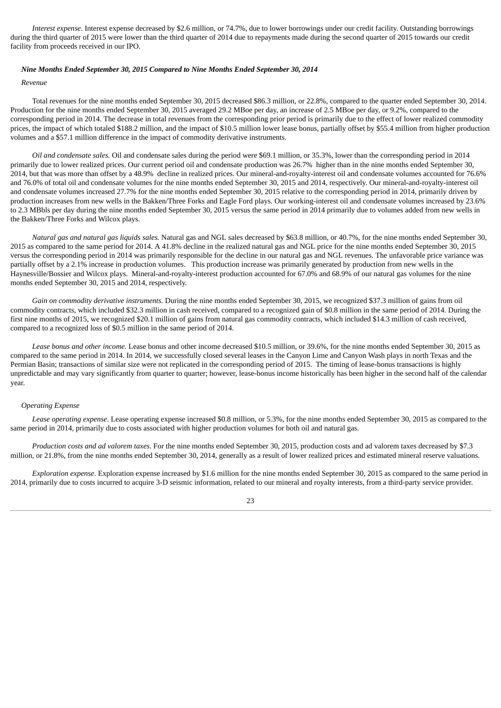*Interest expense*. Interest expense decreased by \$2.6 million, or 74.7%, due to lower borrowings under our credit facility. Outstanding borrowings during the third quarter of 2015 were lower than the third quarter of 2014 due to repayments made during the second quarter of 2015 towards our credit facility from proceeds received in our IPO.

#### *Nine Months Ended September 30, 2015 Compared to Nine Months Ended September 30, 2014*

#### *Revenue*

Total revenues for the nine months ended September 30, 2015 decreased \$86.3 million, or 22.8%, compared to the quarter ended September 30, 2014. Production for the nine months ended September 30, 2015 averaged 29.2 MBoe per day, an increase of 2.5 MBoe per day, or 9.2%, compared to the corresponding period in 2014. The decrease in total revenues from the corresponding prior period is primarily due to the effect of lower realized commodity prices, the impact of which totaled \$188.2 million, and the impact of \$10.5 million lower lease bonus, partially offset by \$55.4 million from higher production volumes and a \$57.1 million difference in the impact of commodity derivative instruments.

*Oil and condensate sales.* Oil and condensate sales during the period were \$69.1 million, or 35.3%, lower than the corresponding period in 2014 primarily due to lower realized prices. Our current period oil and condensate production was 26.7% higher than in the nine months ended September 30, 2014, but that was more than offset by a 48.9% decline in realized prices. Our mineral-and-royalty-interest oil and condensate volumes accounted for 76.6% and 76.0% of total oil and condensate volumes for the nine months ended September 30, 2015 and 2014, respectively. Our mineral-and-royalty-interest oil and condensate volumes increased 27.7% for the nine months ended September 30, 2015 relative to the corresponding period in 2014, primarily driven by production increases from new wells in the Bakken/Three Forks and Eagle Ford plays. Our working-interest oil and condensate volumes increased by 23.6% to 2.3 MBbls per day during the nine months ended September 30, 2015 versus the same period in 2014 primarily due to volumes added from new wells in the Bakken/Three Forks and Wilcox plays.

*Natural gas and natural gas liquids sales.* Natural gas and NGL sales decreased by \$63.8 million, or 40.7%, for the nine months ended September 30, 2015 as compared to the same period for 2014. A 41.8% decline in the realized natural gas and NGL price for the nine months ended September 30, 2015 versus the corresponding period in 2014 was primarily responsible for the decline in our natural gas and NGL revenues. The unfavorable price variance was partially offset by a 2.1% increase in production volumes. This production increase was primarily generated by production from new wells in the Haynesville/Bossier and Wilcox plays. Mineral-and-royalty-interest production accounted for 67.0% and 68.9% of our natural gas volumes for the nine months ended September 30, 2015 and 2014, respectively.

*Gain on commodity derivative instruments.* During the nine months ended September 30, 2015, we recognized \$37.3 million of gains from oil commodity contracts, which included \$32.3 million in cash received, compared to a recognized gain of \$0.8 million in the same period of 2014. During the first nine months of 2015, we recognized \$20.1 million of gains from natural gas commodity contracts, which included \$14.3 million of cash received, compared to a recognized loss of \$0.5 million in the same period of 2014.

*Lease bonus and other income.* Lease bonus and other income decreased \$10.5 million, or 39.6%, for the nine months ended September 30, 2015 as compared to the same period in 2014. In 2014, we successfully closed several leases in the Canyon Lime and Canyon Wash plays in north Texas and the Permian Basin; transactions of similar size were not replicated in the corresponding period of 2015. The timing of lease-bonus transactions is highly unpredictable and may vary significantly from quarter to quarter; however, lease-bonus income historically has been higher in the second half of the calendar year.

#### *Operating Expense*

*Lease operating expense*. Lease operating expense increased \$0.8 million, or 5.3%, for the nine months ended September 30, 2015 as compared to the same period in 2014, primarily due to costs associated with higher production volumes for both oil and natural gas.

*Production costs and ad valorem taxes*. For the nine months ended September 30, 2015, production costs and ad valorem taxes decreased by \$7.3 million, or 21.8%, from the nine months ended September 30, 2014, generally as a result of lower realized prices and estimated mineral reserve valuations.

*Exploration expense*. Exploration expense increased by \$1.6 million for the nine months ended September 30, 2015 as compared to the same period in 2014, primarily due to costs incurred to acquire 3-D seismic information, related to our mineral and royalty interests, from a third-party service provider.

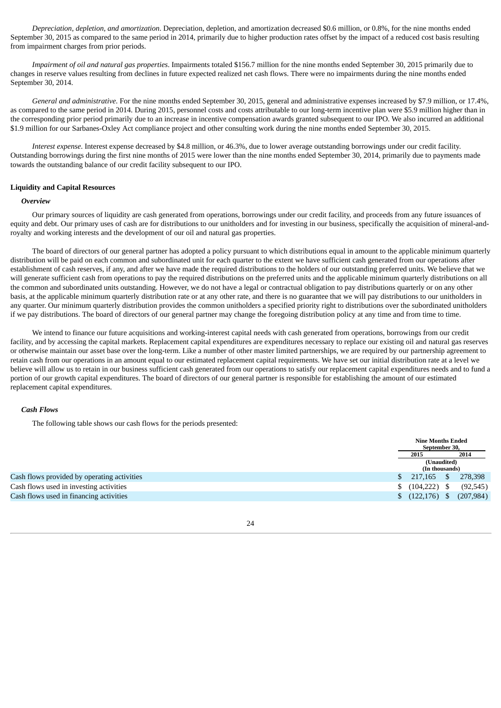*Depreciation, depletion, and amortization*. Depreciation, depletion, and amortization decreased \$0.6 million, or 0.8%, for the nine months ended September 30, 2015 as compared to the same period in 2014, primarily due to higher production rates offset by the impact of a reduced cost basis resulting from impairment charges from prior periods.

*Impairment of oil and natural gas properties*. Impairments totaled \$156.7 million for the nine months ended September 30, 2015 primarily due to changes in reserve values resulting from declines in future expected realized net cash flows. There were no impairments during the nine months ended September 30, 2014.

*General and administrative*. For the nine months ended September 30, 2015, general and administrative expenses increased by \$7.9 million, or 17.4%, as compared to the same period in 2014. During 2015, personnel costs and costs attributable to our long-term incentive plan were \$5.9 million higher than in the corresponding prior period primarily due to an increase in incentive compensation awards granted subsequent to our IPO. We also incurred an additional \$1.9 million for our Sarbanes-Oxley Act compliance project and other consulting work during the nine months ended September 30, 2015.

*Interest expense*. Interest expense decreased by \$4.8 million, or 46.3%, due to lower average outstanding borrowings under our credit facility. Outstanding borrowings during the first nine months of 2015 were lower than the nine months ended September 30, 2014, primarily due to payments made towards the outstanding balance of our credit facility subsequent to our IPO.

#### **Liquidity and Capital Resources**

### *Overview*

Our primary sources of liquidity are cash generated from operations, borrowings under our credit facility, and proceeds from any future issuances of equity and debt. Our primary uses of cash are for distributions to our unitholders and for investing in our business, specifically the acquisition of mineral-androyalty and working interests and the development of our oil and natural gas properties.

The board of directors of our general partner has adopted a policy pursuant to which distributions equal in amount to the applicable minimum quarterly distribution will be paid on each common and subordinated unit for each quarter to the extent we have sufficient cash generated from our operations after establishment of cash reserves, if any, and after we have made the required distributions to the holders of our outstanding preferred units. We believe that we will generate sufficient cash from operations to pay the required distributions on the preferred units and the applicable minimum quarterly distributions on all the common and subordinated units outstanding. However, we do not have a legal or contractual obligation to pay distributions quarterly or on any other basis, at the applicable minimum quarterly distribution rate or at any other rate, and there is no guarantee that we will pay distributions to our unitholders in any quarter. Our minimum quarterly distribution provides the common unitholders a specified priority right to distributions over the subordinated unitholders if we pay distributions. The board of directors of our general partner may change the foregoing distribution policy at any time and from time to time.

We intend to finance our future acquisitions and working-interest capital needs with cash generated from operations, borrowings from our credit facility, and by accessing the capital markets. Replacement capital expenditures are expenditures necessary to replace our existing oil and natural gas reserves or otherwise maintain our asset base over the long-term. Like a number of other master limited partnerships, we are required by our partnership agreement to retain cash from our operations in an amount equal to our estimated replacement capital requirements. We have set our initial distribution rate at a level we believe will allow us to retain in our business sufficient cash generated from our operations to satisfy our replacement capital expenditures needs and to fund a portion of our growth capital expenditures. The board of directors of our general partner is responsible for establishing the amount of our estimated replacement capital expenditures.

# *Cash Flows*

The following table shows our cash flows for the periods presented:

|                                             | <b>Nine Months Ended</b><br>September 30, |    |            |
|---------------------------------------------|-------------------------------------------|----|------------|
|                                             | 2015                                      |    | 2014       |
|                                             | (Unaudited)<br>(In thousands)             |    |            |
| Cash flows provided by operating activities | 217,165                                   | S. | 278,398    |
| Cash flows used in investing activities     | (104,222)                                 | -S | (92, 545)  |
| Cash flows used in financing activities     | \$ (122, 176) \$                          |    | (207, 984) |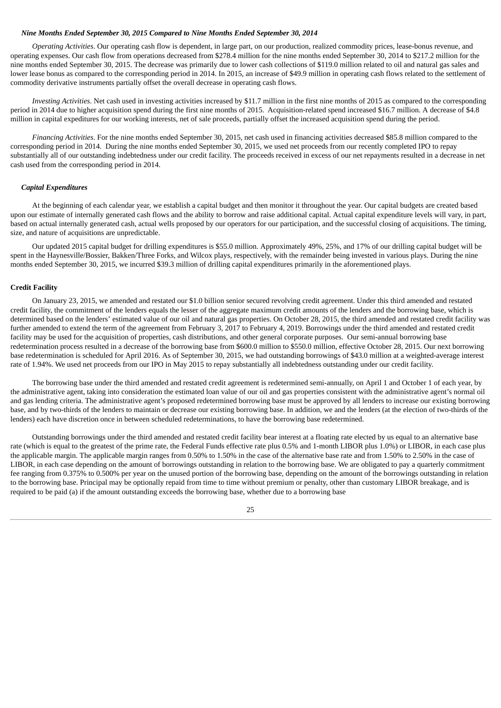#### *Nine Months Ended September 30, 2015 Compared to Nine Months Ended September 30, 2014*

*Operating Activities*. Our operating cash flow is dependent, in large part, on our production, realized commodity prices, lease-bonus revenue, and operating expenses. Our cash flow from operations decreased from \$278.4 million for the nine months ended September 30, 2014 to \$217.2 million for the nine months ended September 30, 2015. The decrease was primarily due to lower cash collections of \$119.0 million related to oil and natural gas sales and lower lease bonus as compared to the corresponding period in 2014. In 2015, an increase of \$49.9 million in operating cash flows related to the settlement of commodity derivative instruments partially offset the overall decrease in operating cash flows.

*Investing Activities*. Net cash used in investing activities increased by \$11.7 million in the first nine months of 2015 as compared to the corresponding period in 2014 due to higher acquisition spend during the first nine months of 2015. Acquisition-related spend increased \$16.7 million. A decrease of \$4.8 million in capital expeditures for our working interests, net of sale proceeds, partially offset the increased acquisition spend during the period.

*Financing Activities*. For the nine months ended September 30, 2015, net cash used in financing activities decreased \$85.8 million compared to the corresponding period in 2014. During the nine months ended September 30, 2015, we used net proceeds from our recently completed IPO to repay substantially all of our outstanding indebtedness under our credit facility. The proceeds received in excess of our net repayments resulted in a decrease in net cash used from the corresponding period in 2014.

#### *Capital Expenditures*

At the beginning of each calendar year, we establish a capital budget and then monitor it throughout the year. Our capital budgets are created based upon our estimate of internally generated cash flows and the ability to borrow and raise additional capital. Actual capital expenditure levels will vary, in part, based on actual internally generated cash, actual wells proposed by our operators for our participation, and the successful closing of acquisitions. The timing, size, and nature of acquisitions are unpredictable.

Our updated 2015 capital budget for drilling expenditures is \$55.0 million. Approximately 49%, 25%, and 17% of our drilling capital budget will be spent in the Haynesville/Bossier, Bakken/Three Forks, and Wilcox plays, respectively, with the remainder being invested in various plays. During the nine months ended September 30, 2015, we incurred \$39.3 million of drilling capital expenditures primarily in the aforementioned plays.

#### **Credit Facility**

On January 23, 2015, we amended and restated our \$1.0 billion senior secured revolving credit agreement. Under this third amended and restated credit facility, the commitment of the lenders equals the lesser of the aggregate maximum credit amounts of the lenders and the borrowing base, which is determined based on the lenders' estimated value of our oil and natural gas properties. On October 28, 2015, the third amended and restated credit facility was further amended to extend the term of the agreement from February 3, 2017 to February 4, 2019. Borrowings under the third amended and restated credit facility may be used for the acquisition of properties, cash distributions, and other general corporate purposes. Our semi-annual borrowing base redetermination process resulted in a decrease of the borrowing base from \$600.0 million to \$550.0 million, effective October 28, 2015. Our next borrowing base redetermination is scheduled for April 2016. As of September 30, 2015, we had outstanding borrowings of \$43.0 million at a weighted-average interest rate of 1.94%. We used net proceeds from our IPO in May 2015 to repay substantially all indebtedness outstanding under our credit facility.

The borrowing base under the third amended and restated credit agreement is redetermined semi-annually, on April 1 and October 1 of each year, by the administrative agent, taking into consideration the estimated loan value of our oil and gas properties consistent with the administrative agent's normal oil and gas lending criteria. The administrative agent's proposed redetermined borrowing base must be approved by all lenders to increase our existing borrowing base, and by two-thirds of the lenders to maintain or decrease our existing borrowing base. In addition, we and the lenders (at the election of two-thirds of the lenders) each have discretion once in between scheduled redeterminations, to have the borrowing base redetermined.

Outstanding borrowings under the third amended and restated credit facility bear interest at a floating rate elected by us equal to an alternative base rate (which is equal to the greatest of the prime rate, the Federal Funds effective rate plus 0.5% and 1-month LIBOR plus 1.0%) or LIBOR, in each case plus the applicable margin. The applicable margin ranges from 0.50% to 1.50% in the case of the alternative base rate and from 1.50% to 2.50% in the case of LIBOR, in each case depending on the amount of borrowings outstanding in relation to the borrowing base. We are obligated to pay a quarterly commitment fee ranging from 0.375% to 0.500% per year on the unused portion of the borrowing base, depending on the amount of the borrowings outstanding in relation to the borrowing base. Principal may be optionally repaid from time to time without premium or penalty, other than customary LIBOR breakage, and is required to be paid (a) if the amount outstanding exceeds the borrowing base, whether due to a borrowing base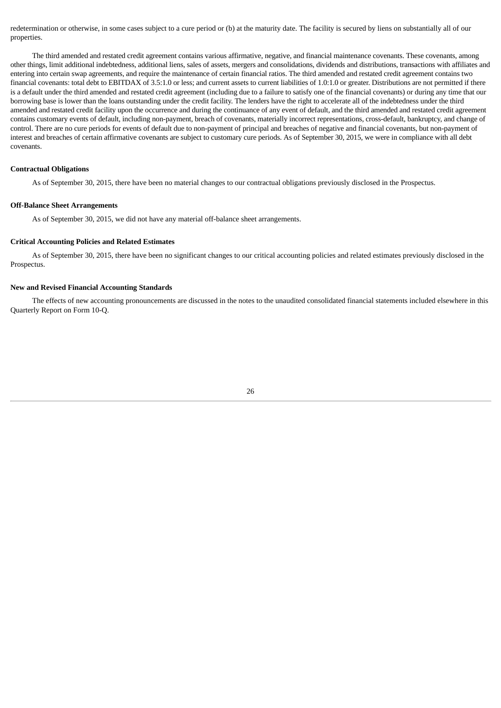redetermination or otherwise, in some cases subject to a cure period or (b) at the maturity date. The facility is secured by liens on substantially all of our properties.

The third amended and restated credit agreement contains various affirmative, negative, and financial maintenance covenants. These covenants, among other things, limit additional indebtedness, additional liens, sales of assets, mergers and consolidations, dividends and distributions, transactions with affiliates and entering into certain swap agreements, and require the maintenance of certain financial ratios. The third amended and restated credit agreement contains two financial covenants: total debt to EBITDAX of 3.5:1.0 or less; and current assets to current liabilities of 1.0:1.0 or greater. Distributions are not permitted if there is a default under the third amended and restated credit agreement (including due to a failure to satisfy one of the financial covenants) or during any time that our borrowing base is lower than the loans outstanding under the credit facility. The lenders have the right to accelerate all of the indebtedness under the third amended and restated credit facility upon the occurrence and during the continuance of any event of default, and the third amended and restated credit agreement contains customary events of default, including non-payment, breach of covenants, materially incorrect representations, cross-default, bankruptcy, and change of control. There are no cure periods for events of default due to non-payment of principal and breaches of negative and financial covenants, but non-payment of interest and breaches of certain affirmative covenants are subject to customary cure periods. As of September 30, 2015, we were in compliance with all debt covenants.

### **Contractual Obligations**

As of September 30, 2015, there have been no material changes to our contractual obligations previously disclosed in the Prospectus.

# **Off-Balance Sheet Arrangements**

As of September 30, 2015, we did not have any material off-balance sheet arrangements.

#### **Critical Accounting Policies and Related Estimates**

As of September 30, 2015, there have been no significant changes to our critical accounting policies and related estimates previously disclosed in the Prospectus.

#### **New and Revised Financial Accounting Standards**

The effects of new accounting pronouncements are discussed in the notes to the unaudited consolidated financial statements included elsewhere in this Quarterly Report on Form 10-Q.

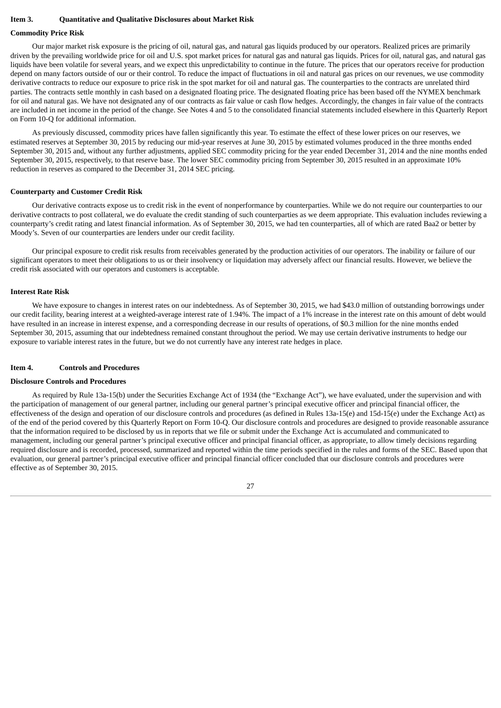#### <span id="page-28-0"></span>**Item 3. Quantitative and Qualitative Disclosures about Market Risk**

## **Commodity Price Risk**

Our major market risk exposure is the pricing of oil, natural gas, and natural gas liquids produced by our operators. Realized prices are primarily driven by the prevailing worldwide price for oil and U.S. spot market prices for natural gas and natural gas liquids. Prices for oil, natural gas, and natural gas liquids have been volatile for several years, and we expect this unpredictability to continue in the future. The prices that our operators receive for production depend on many factors outside of our or their control. To reduce the impact of fluctuations in oil and natural gas prices on our revenues, we use commodity derivative contracts to reduce our exposure to price risk in the spot market for oil and natural gas. The counterparties to the contracts are unrelated third parties. The contracts settle monthly in cash based on a designated floating price. The designated floating price has been based off the NYMEX benchmark for oil and natural gas. We have not designated any of our contracts as fair value or cash flow hedges. Accordingly, the changes in fair value of the contracts are included in net income in the period of the change. See Notes 4 and 5 to the consolidated financial statements included elsewhere in this Quarterly Report on Form 10-Q for additional information.

As previously discussed, commodity prices have fallen significantly this year. To estimate the effect of these lower prices on our reserves, we estimated reserves at September 30, 2015 by reducing our mid-year reserves at June 30, 2015 by estimated volumes produced in the three months ended September 30, 2015 and, without any further adjustments, applied SEC commodity pricing for the year ended December 31, 2014 and the nine months ended September 30, 2015, respectively, to that reserve base. The lower SEC commodity pricing from September 30, 2015 resulted in an approximate 10% reduction in reserves as compared to the December 31, 2014 SEC pricing.

#### **Counterparty and Customer Credit Risk**

Our derivative contracts expose us to credit risk in the event of nonperformance by counterparties. While we do not require our counterparties to our derivative contracts to post collateral, we do evaluate the credit standing of such counterparties as we deem appropriate. This evaluation includes reviewing a counterparty's credit rating and latest financial information. As of September 30, 2015, we had ten counterparties, all of which are rated Baa2 or better by Moody's. Seven of our counterparties are lenders under our credit facility.

Our principal exposure to credit risk results from receivables generated by the production activities of our operators. The inability or failure of our significant operators to meet their obligations to us or their insolvency or liquidation may adversely affect our financial results. However, we believe the credit risk associated with our operators and customers is acceptable.

# **Interest Rate Risk**

We have exposure to changes in interest rates on our indebtedness. As of September 30, 2015, we had \$43.0 million of outstanding borrowings under our credit facility, bearing interest at a weighted-average interest rate of 1.94%. The impact of a 1% increase in the interest rate on this amount of debt would have resulted in an increase in interest expense, and a corresponding decrease in our results of operations, of \$0.3 million for the nine months ended September 30, 2015, assuming that our indebtedness remained constant throughout the period. We may use certain derivative instruments to hedge our exposure to variable interest rates in the future, but we do not currently have any interest rate hedges in place.

#### <span id="page-28-1"></span>**Item 4. Controls and Procedures**

# **Disclosure Controls and Procedures**

As required by Rule 13a-15(b) under the Securities Exchange Act of 1934 (the "Exchange Act"), we have evaluated, under the supervision and with the participation of management of our general partner, including our general partner's principal executive officer and principal financial officer, the effectiveness of the design and operation of our disclosure controls and procedures (as defined in Rules 13a-15(e) and 15d-15(e) under the Exchange Act) as of the end of the period covered by this Quarterly Report on Form 10-Q. Our disclosure controls and procedures are designed to provide reasonable assurance that the information required to be disclosed by us in reports that we file or submit under the Exchange Act is accumulated and communicated to management, including our general partner's principal executive officer and principal financial officer, as appropriate, to allow timely decisions regarding required disclosure and is recorded, processed, summarized and reported within the time periods specified in the rules and forms of the SEC. Based upon that evaluation, our general partner's principal executive officer and principal financial officer concluded that our disclosure controls and procedures were effective as of September 30, 2015.

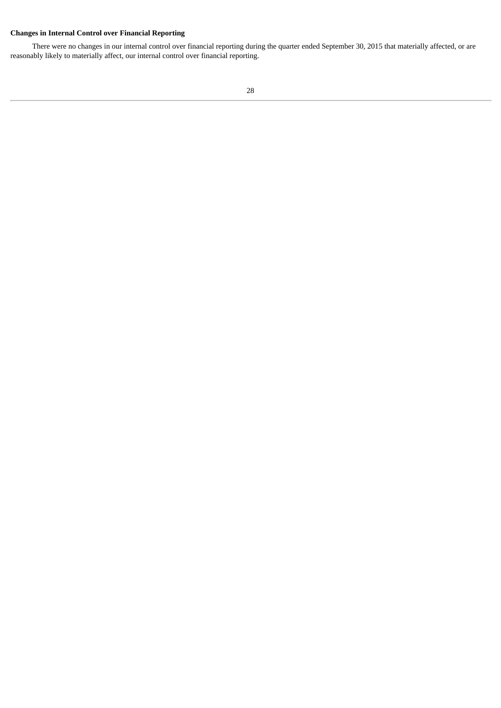# **Changes in Internal Control over Financial Reporting**

There were no changes in our internal control over financial reporting during the quarter ended September 30, 2015 that materially affected, or are reasonably likely to materially affect, our internal control over financial reporting.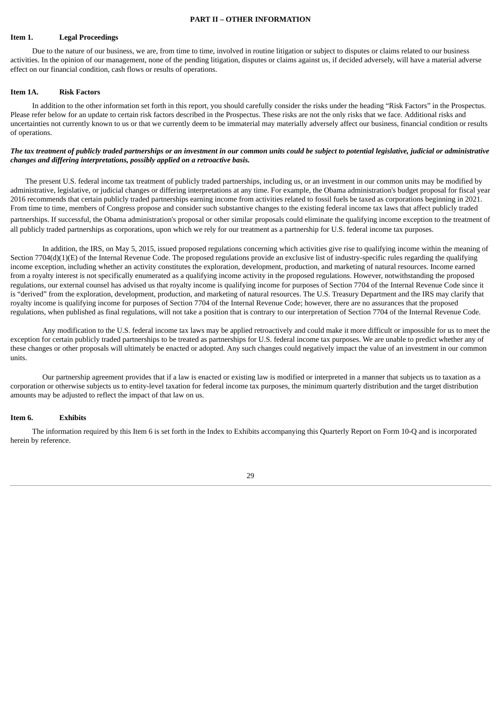#### **PART II – OTHER INFORMATION**

#### <span id="page-30-1"></span><span id="page-30-0"></span>**Item 1. Legal Proceedings**

Due to the nature of our business, we are, from time to time, involved in routine litigation or subject to disputes or claims related to our business activities. In the opinion of our management, none of the pending litigation, disputes or claims against us, if decided adversely, will have a material adverse effect on our financial condition, cash flows or results of operations.

#### <span id="page-30-2"></span>**Item 1A. Risk Factors**

In addition to the other information set forth in this report, you should carefully consider the risks under the heading "Risk Factors" in the Prospectus. Please refer below for an update to certain risk factors described in the Prospectus. These risks are not the only risks that we face. Additional risks and uncertainties not currently known to us or that we currently deem to be immaterial may materially adversely affect our business, financial condition or results of operations.

# The tax treatment of publicly traded partnerships or an investment in our common units could be subject to potential legislative, judicial or administrative *changes and differing interpretations, possibly applied on a retroactive basis.*

The present U.S. federal income tax treatment of publicly traded partnerships, including us, or an investment in our common units may be modified by administrative, legislative, or judicial changes or differing interpretations at any time. For example, the Obama administration's budget proposal for fiscal year 2016 recommends that certain publicly traded partnerships earning income from activities related to fossil fuels be taxed as corporations beginning in 2021. From time to time, members of Congress propose and consider such substantive changes to the existing federal income tax laws that affect publicly traded

partnerships. If successful, the Obama administration's proposal or other similar proposals could eliminate the qualifying income exception to the treatment of all publicly traded partnerships as corporations, upon which we rely for our treatment as a partnership for U.S. federal income tax purposes.

In addition, the IRS, on May 5, 2015, issued proposed regulations concerning which activities give rise to qualifying income within the meaning of Section 7704(d)(1)(E) of the Internal Revenue Code. The proposed regulations provide an exclusive list of industry-specific rules regarding the qualifying income exception, including whether an activity constitutes the exploration, development, production, and marketing of natural resources. Income earned from a royalty interest is not specifically enumerated as a qualifying income activity in the proposed regulations. However, notwithstanding the proposed regulations, our external counsel has advised us that royalty income is qualifying income for purposes of Section 7704 of the Internal Revenue Code since it is "derived" from the exploration, development, production, and marketing of natural resources. The U.S. Treasury Department and the IRS may clarify that royalty income is qualifying income for purposes of Section 7704 of the Internal Revenue Code; however, there are no assurances that the proposed regulations, when published as final regulations, will not take a position that is contrary to our interpretation of Section 7704 of the Internal Revenue Code.

Any modification to the U.S. federal income tax laws may be applied retroactively and could make it more difficult or impossible for us to meet the exception for certain publicly traded partnerships to be treated as partnerships for U.S. federal income tax purposes. We are unable to predict whether any of these changes or other proposals will ultimately be enacted or adopted. Any such changes could negatively impact the value of an investment in our common units.

Our partnership agreement provides that if a law is enacted or existing law is modified or interpreted in a manner that subjects us to taxation as a corporation or otherwise subjects us to entity-level taxation for federal income tax purposes, the minimum quarterly distribution and the target distribution amounts may be adjusted to reflect the impact of that law on us.

#### <span id="page-30-3"></span>**Item 6. Exhibits**

The information required by this Item 6 is set forth in the Index to Exhibits accompanying this Quarterly Report on Form 10-Q and is incorporated herein by reference.

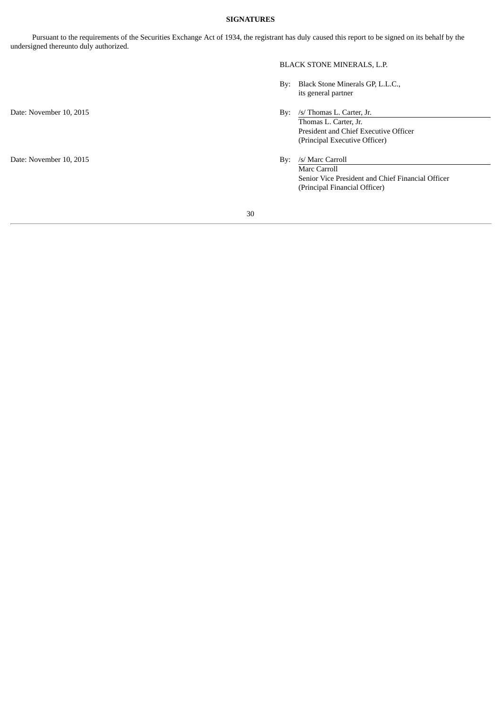# **SIGNATURES**

<span id="page-31-0"></span>Pursuant to the requirements of the Securities Exchange Act of 1934, the registrant has duly caused this report to be signed on its behalf by the undersigned thereunto duly authorized.

# BLACK STONE MINERALS, L.P.

- By: Black Stone Minerals GP, L.L.C., its general partner
- Thomas L. Carter, Jr. President and Chief Executive Officer
	- (Principal Executive Officer)
- Marc Carroll Senior Vice President and Chief Financial Officer (Principal Financial Officer)

30

Date: November 10, 2015 By: /s/ Thomas L. Carter, Jr.

Date: November 10, 2015 By: /s/ Marc Carroll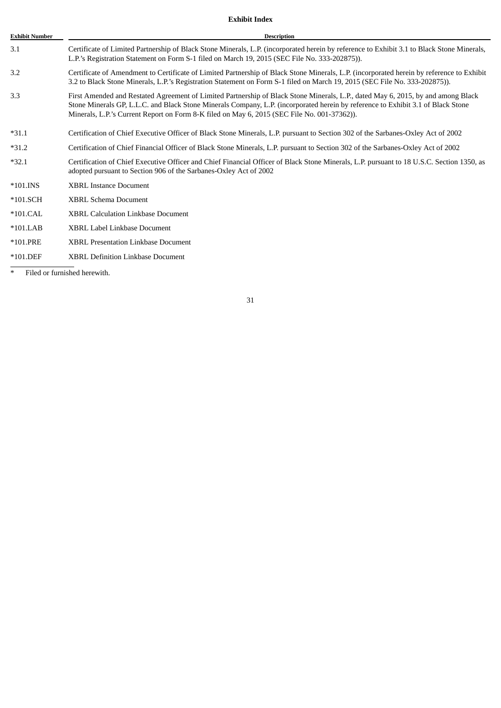# **Exhibit Index**

| <b>Exhibit Number</b> | <b>Description</b>                                                                                                                                                                                                                                                                                                                                                  |
|-----------------------|---------------------------------------------------------------------------------------------------------------------------------------------------------------------------------------------------------------------------------------------------------------------------------------------------------------------------------------------------------------------|
| 3.1                   | Certificate of Limited Partnership of Black Stone Minerals, L.P. (incorporated herein by reference to Exhibit 3.1 to Black Stone Minerals,<br>L.P.'s Registration Statement on Form S-1 filed on March 19, 2015 (SEC File No. 333-202875)).                                                                                                                         |
| 3.2                   | Certificate of Amendment to Certificate of Limited Partnership of Black Stone Minerals, L.P. (incorporated herein by reference to Exhibit<br>3.2 to Black Stone Minerals, L.P.'s Registration Statement on Form S-1 filed on March 19, 2015 (SEC File No. 333-202875)).                                                                                             |
| 3.3                   | First Amended and Restated Agreement of Limited Partnership of Black Stone Minerals, L.P., dated May 6, 2015, by and among Black<br>Stone Minerals GP, L.L.C. and Black Stone Minerals Company, L.P. (incorporated herein by reference to Exhibit 3.1 of Black Stone<br>Minerals, L.P.'s Current Report on Form 8-K filed on May 6, 2015 (SEC File No. 001-37362)). |
| $*31.1$               | Certification of Chief Executive Officer of Black Stone Minerals, L.P. pursuant to Section 302 of the Sarbanes-Oxley Act of 2002                                                                                                                                                                                                                                    |
| $*31.2$               | Certification of Chief Financial Officer of Black Stone Minerals, L.P. pursuant to Section 302 of the Sarbanes-Oxley Act of 2002                                                                                                                                                                                                                                    |
| $*32.1$               | Certification of Chief Executive Officer and Chief Financial Officer of Black Stone Minerals, L.P. pursuant to 18 U.S.C. Section 1350, as<br>adopted pursuant to Section 906 of the Sarbanes-Oxley Act of 2002                                                                                                                                                      |
| $*101$ .INS           | <b>XBRL Instance Document</b>                                                                                                                                                                                                                                                                                                                                       |
| $*101$ .SCH           | <b>XBRL Schema Document</b>                                                                                                                                                                                                                                                                                                                                         |
| $*101.CAL$            | <b>XBRL Calculation Linkbase Document</b>                                                                                                                                                                                                                                                                                                                           |
| $*101.LAB$            | XBRL Label Linkbase Document                                                                                                                                                                                                                                                                                                                                        |
| *101.PRE              | <b>XBRL Presentation Linkbase Document</b>                                                                                                                                                                                                                                                                                                                          |
| $*101.DEF$            | <b>XBRL Definition Linkbase Document</b>                                                                                                                                                                                                                                                                                                                            |
| *                     | Filed or furnished herewith.                                                                                                                                                                                                                                                                                                                                        |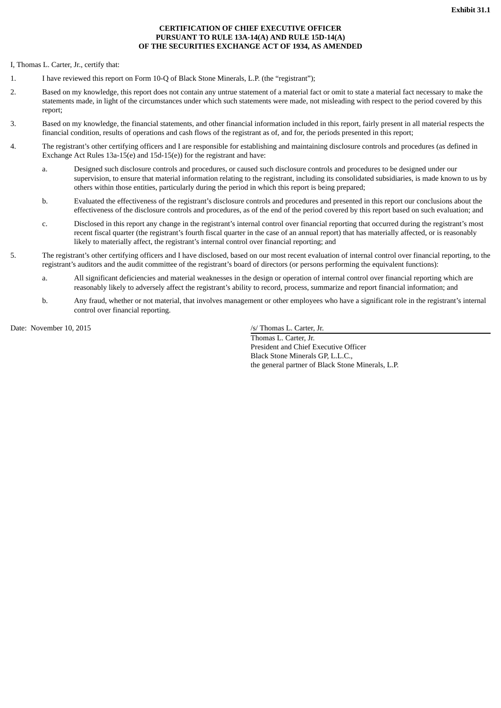# **CERTIFICATION OF CHIEF EXECUTIVE OFFICER PURSUANT TO RULE 13A-14(A) AND RULE 15D-14(A) OF THE SECURITIES EXCHANGE ACT OF 1934, AS AMENDED**

I, Thomas L. Carter, Jr., certify that:

- 1. I have reviewed this report on Form 10-Q of Black Stone Minerals, L.P. (the "registrant");
- 2. Based on my knowledge, this report does not contain any untrue statement of a material fact or omit to state a material fact necessary to make the statements made, in light of the circumstances under which such statements were made, not misleading with respect to the period covered by this report;
- 3. Based on my knowledge, the financial statements, and other financial information included in this report, fairly present in all material respects the financial condition, results of operations and cash flows of the registrant as of, and for, the periods presented in this report;
- 4. The registrant's other certifying officers and I are responsible for establishing and maintaining disclosure controls and procedures (as defined in Exchange Act Rules 13a-15(e) and 15d-15(e)) for the registrant and have:
	- a. Designed such disclosure controls and procedures, or caused such disclosure controls and procedures to be designed under our supervision, to ensure that material information relating to the registrant, including its consolidated subsidiaries, is made known to us by others within those entities, particularly during the period in which this report is being prepared;
	- b. Evaluated the effectiveness of the registrant's disclosure controls and procedures and presented in this report our conclusions about the effectiveness of the disclosure controls and procedures, as of the end of the period covered by this report based on such evaluation; and
	- c. Disclosed in this report any change in the registrant's internal control over financial reporting that occurred during the registrant's most recent fiscal quarter (the registrant's fourth fiscal quarter in the case of an annual report) that has materially affected, or is reasonably likely to materially affect, the registrant's internal control over financial reporting; and
- 5. The registrant's other certifying officers and I have disclosed, based on our most recent evaluation of internal control over financial reporting, to the registrant's auditors and the audit committee of the registrant's board of directors (or persons performing the equivalent functions):
	- a. All significant deficiencies and material weaknesses in the design or operation of internal control over financial reporting which are reasonably likely to adversely affect the registrant's ability to record, process, summarize and report financial information; and
	- b. Any fraud, whether or not material, that involves management or other employees who have a significant role in the registrant's internal control over financial reporting.

Date: November 10, 2015 /s/ Thomas L. Carter, Jr.

Thomas L. Carter, Jr. President and Chief Executive Officer Black Stone Minerals GP, L.L.C., the general partner of Black Stone Minerals, L.P.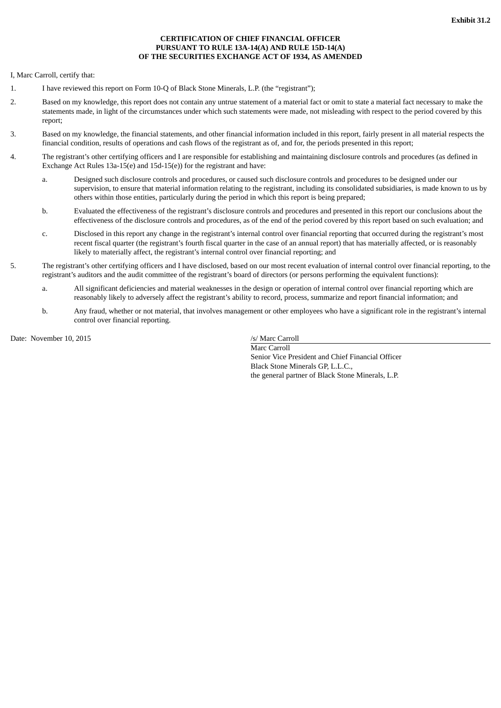# **CERTIFICATION OF CHIEF FINANCIAL OFFICER PURSUANT TO RULE 13A-14(A) AND RULE 15D-14(A) OF THE SECURITIES EXCHANGE ACT OF 1934, AS AMENDED**

I, Marc Carroll, certify that:

- 1. I have reviewed this report on Form 10-Q of Black Stone Minerals, L.P. (the "registrant");
- 2. Based on my knowledge, this report does not contain any untrue statement of a material fact or omit to state a material fact necessary to make the statements made, in light of the circumstances under which such statements were made, not misleading with respect to the period covered by this report;
- 3. Based on my knowledge, the financial statements, and other financial information included in this report, fairly present in all material respects the financial condition, results of operations and cash flows of the registrant as of, and for, the periods presented in this report;
- 4. The registrant's other certifying officers and I are responsible for establishing and maintaining disclosure controls and procedures (as defined in Exchange Act Rules 13a-15(e) and 15d-15(e)) for the registrant and have:
	- a. Designed such disclosure controls and procedures, or caused such disclosure controls and procedures to be designed under our supervision, to ensure that material information relating to the registrant, including its consolidated subsidiaries, is made known to us by others within those entities, particularly during the period in which this report is being prepared;
	- b. Evaluated the effectiveness of the registrant's disclosure controls and procedures and presented in this report our conclusions about the effectiveness of the disclosure controls and procedures, as of the end of the period covered by this report based on such evaluation; and
	- c. Disclosed in this report any change in the registrant's internal control over financial reporting that occurred during the registrant's most recent fiscal quarter (the registrant's fourth fiscal quarter in the case of an annual report) that has materially affected, or is reasonably likely to materially affect, the registrant's internal control over financial reporting; and
- 5. The registrant's other certifying officers and I have disclosed, based on our most recent evaluation of internal control over financial reporting, to the registrant's auditors and the audit committee of the registrant's board of directors (or persons performing the equivalent functions):
	- a. All significant deficiencies and material weaknesses in the design or operation of internal control over financial reporting which are reasonably likely to adversely affect the registrant's ability to record, process, summarize and report financial information; and
	- b. Any fraud, whether or not material, that involves management or other employees who have a significant role in the registrant's internal control over financial reporting.

Date: November 10, 2015 /s/ Marc Carroll /s/ Marc Carroll /s/ Marc Carroll /s/ Marc Carroll /s/ Marc Carroll /s/ Marc Carroll /s/ Marc Carroll /s/ Marc Carroll /s/ Marc Carroll /s/ Marc Carroll /s/ Marc Carroll /s/ Marc Ca

Marc Carroll Senior Vice President and Chief Financial Officer Black Stone Minerals GP, L.L.C., the general partner of Black Stone Minerals, L.P.